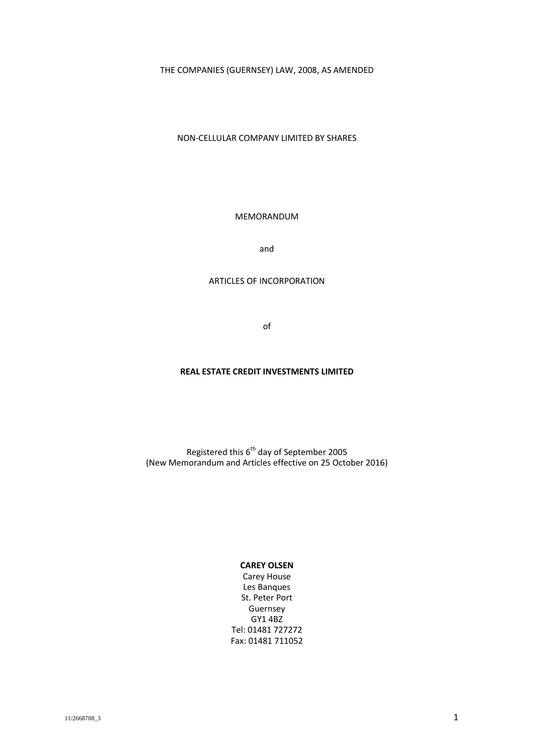THE COMPANIES (GUERNSEY) LAW, 2008, AS AMENDED

NON-CELLULAR COMPANY LIMITED BY SHARES

MEMORANDUM

and

### ARTICLES OF INCORPORATION

of

#### **REAL ESTATE CREDIT INVESTMENTS LIMITED**

Registered this 6<sup>th</sup> day of September 2005 (New Memorandum and Articles effective on 25 October 2016)

# **CAREY OLSEN**

Carey House Les Banques St. Peter Port Guernsey GY1 4BZ Tel: 01481 727272 Fax: 01481 711052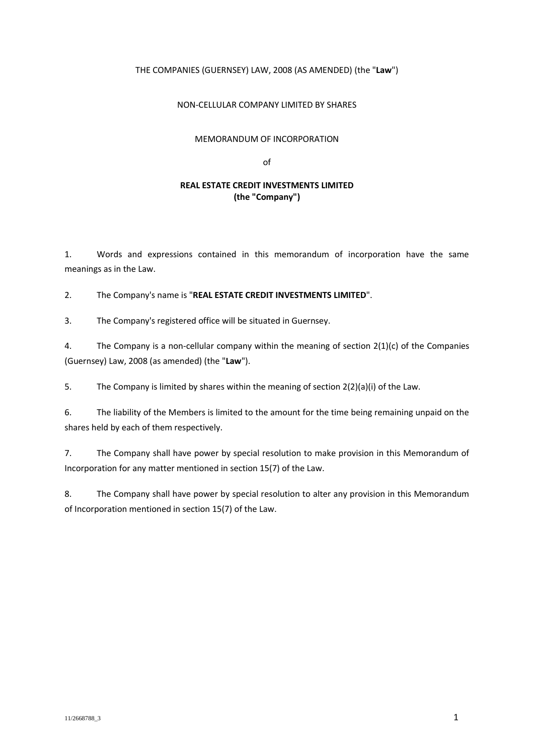### THE COMPANIES (GUERNSEY) LAW, 2008 (AS AMENDED) (the "**Law**")

### NON-CELLULAR COMPANY LIMITED BY SHARES

#### MEMORANDUM OF INCORPORATION

of

### **REAL ESTATE CREDIT INVESTMENTS LIMITED (the "Company")**

1. Words and expressions contained in this memorandum of incorporation have the same meanings as in the Law.

2. The Company's name is "**REAL ESTATE CREDIT INVESTMENTS LIMITED**".

3. The Company's registered office will be situated in Guernsey.

4. The Company is a non-cellular company within the meaning of section 2(1)(c) of the Companies (Guernsey) Law, 2008 (as amended) (the "**Law**").

5. The Company is limited by shares within the meaning of section 2(2)(a)(i) of the Law.

6. The liability of the Members is limited to the amount for the time being remaining unpaid on the shares held by each of them respectively.

7. The Company shall have power by special resolution to make provision in this Memorandum of Incorporation for any matter mentioned in section 15(7) of the Law.

8. The Company shall have power by special resolution to alter any provision in this Memorandum of Incorporation mentioned in section 15(7) of the Law.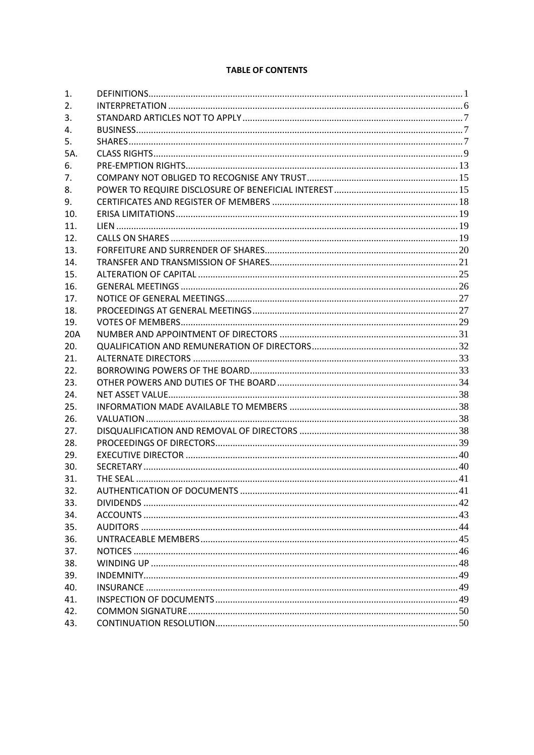# **TABLE OF CONTENTS**

| 1.  |  |
|-----|--|
| 2.  |  |
| 3.  |  |
| 4.  |  |
| 5.  |  |
| 5A. |  |
| 6.  |  |
| 7.  |  |
| 8.  |  |
| 9.  |  |
| 10. |  |
| 11. |  |
| 12. |  |
| 13. |  |
| 14. |  |
| 15. |  |
| 16. |  |
| 17. |  |
| 18. |  |
| 19. |  |
| 20A |  |
| 20. |  |
| 21. |  |
| 22. |  |
| 23. |  |
| 24. |  |
| 25. |  |
| 26. |  |
| 27. |  |
| 28. |  |
| 29. |  |
| 30. |  |
| 31. |  |
| 32. |  |
| 33. |  |
| 34. |  |
| 35. |  |
| 36. |  |
| 37. |  |
| 38. |  |
| 39. |  |
| 40. |  |
| 41. |  |
| 42. |  |
| 43. |  |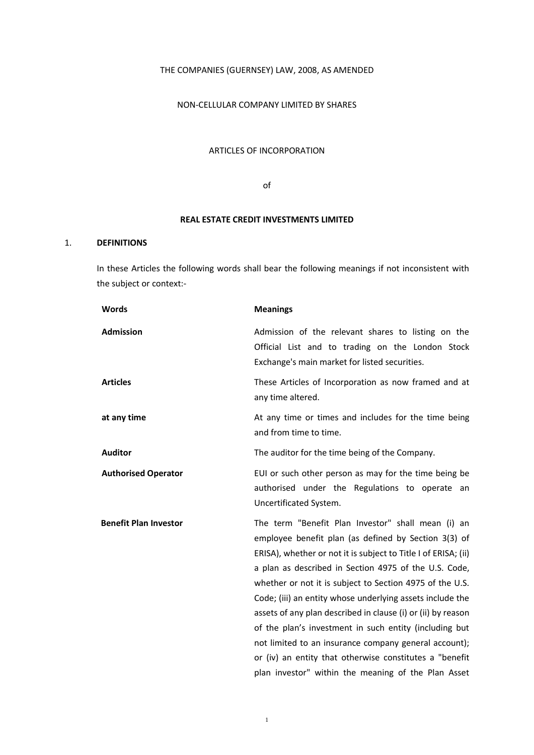### THE COMPANIES (GUERNSEY) LAW, 2008, AS AMENDED

### NON-CELLULAR COMPANY LIMITED BY SHARES

#### ARTICLES OF INCORPORATION

of

#### **REAL ESTATE CREDIT INVESTMENTS LIMITED**

### 1. **DEFINITIONS**

In these Articles the following words shall bear the following meanings if not inconsistent with the subject or context:-

| <b>Words</b>                 | <b>Meanings</b>                                                                                                                                                                                                                                                                                                                                                                                                                                                                                                                                                                                                                                                     |
|------------------------------|---------------------------------------------------------------------------------------------------------------------------------------------------------------------------------------------------------------------------------------------------------------------------------------------------------------------------------------------------------------------------------------------------------------------------------------------------------------------------------------------------------------------------------------------------------------------------------------------------------------------------------------------------------------------|
| <b>Admission</b>             | Admission of the relevant shares to listing on the<br>Official List and to trading on the London Stock<br>Exchange's main market for listed securities.                                                                                                                                                                                                                                                                                                                                                                                                                                                                                                             |
| <b>Articles</b>              | These Articles of Incorporation as now framed and at<br>any time altered.                                                                                                                                                                                                                                                                                                                                                                                                                                                                                                                                                                                           |
| at any time                  | At any time or times and includes for the time being<br>and from time to time.                                                                                                                                                                                                                                                                                                                                                                                                                                                                                                                                                                                      |
| <b>Auditor</b>               | The auditor for the time being of the Company.                                                                                                                                                                                                                                                                                                                                                                                                                                                                                                                                                                                                                      |
| <b>Authorised Operator</b>   | EUI or such other person as may for the time being be<br>authorised under the Regulations to operate an<br>Uncertificated System.                                                                                                                                                                                                                                                                                                                                                                                                                                                                                                                                   |
| <b>Benefit Plan Investor</b> | The term "Benefit Plan Investor" shall mean (i) an<br>employee benefit plan (as defined by Section 3(3) of<br>ERISA), whether or not it is subject to Title I of ERISA; (ii)<br>a plan as described in Section 4975 of the U.S. Code,<br>whether or not it is subject to Section 4975 of the U.S.<br>Code; (iii) an entity whose underlying assets include the<br>assets of any plan described in clause (i) or (ii) by reason<br>of the plan's investment in such entity (including but<br>not limited to an insurance company general account);<br>or (iv) an entity that otherwise constitutes a "benefit<br>plan investor" within the meaning of the Plan Asset |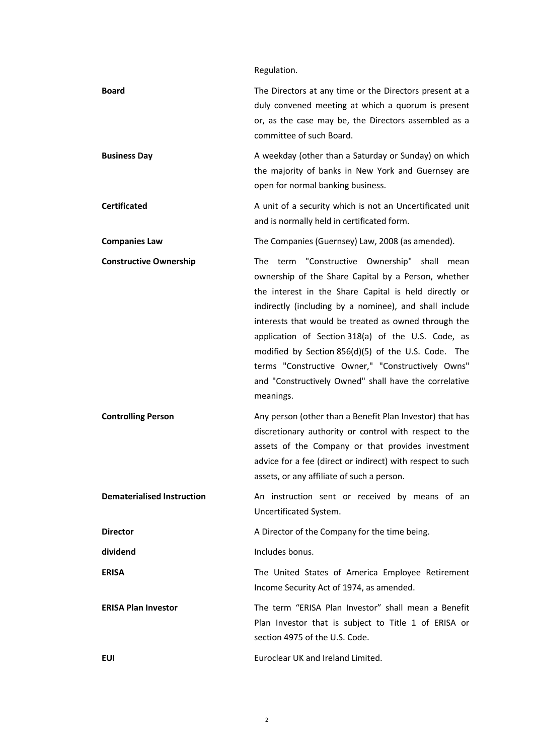Regulation.

| <b>Board</b>                      | The Directors at any time or the Directors present at a<br>duly convened meeting at which a quorum is present<br>or, as the case may be, the Directors assembled as a<br>committee of such Board.                                                                                                                                                                                                                                                                                                                      |
|-----------------------------------|------------------------------------------------------------------------------------------------------------------------------------------------------------------------------------------------------------------------------------------------------------------------------------------------------------------------------------------------------------------------------------------------------------------------------------------------------------------------------------------------------------------------|
| <b>Business Day</b>               | A weekday (other than a Saturday or Sunday) on which<br>the majority of banks in New York and Guernsey are<br>open for normal banking business.                                                                                                                                                                                                                                                                                                                                                                        |
| <b>Certificated</b>               | A unit of a security which is not an Uncertificated unit<br>and is normally held in certificated form.                                                                                                                                                                                                                                                                                                                                                                                                                 |
| <b>Companies Law</b>              | The Companies (Guernsey) Law, 2008 (as amended).                                                                                                                                                                                                                                                                                                                                                                                                                                                                       |
| <b>Constructive Ownership</b>     | The term "Constructive Ownership" shall mean<br>ownership of the Share Capital by a Person, whether<br>the interest in the Share Capital is held directly or<br>indirectly (including by a nominee), and shall include<br>interests that would be treated as owned through the<br>application of Section 318(a) of the U.S. Code, as<br>modified by Section 856(d)(5) of the U.S. Code. The<br>terms "Constructive Owner," "Constructively Owns"<br>and "Constructively Owned" shall have the correlative<br>meanings. |
| <b>Controlling Person</b>         | Any person (other than a Benefit Plan Investor) that has<br>discretionary authority or control with respect to the<br>assets of the Company or that provides investment<br>advice for a fee (direct or indirect) with respect to such<br>assets, or any affiliate of such a person.                                                                                                                                                                                                                                    |
| <b>Dematerialised Instruction</b> | An instruction sent or received by means of an<br>Uncertificated System.                                                                                                                                                                                                                                                                                                                                                                                                                                               |
| <b>Director</b>                   | A Director of the Company for the time being.                                                                                                                                                                                                                                                                                                                                                                                                                                                                          |
| dividend                          | Includes bonus.                                                                                                                                                                                                                                                                                                                                                                                                                                                                                                        |
| <b>ERISA</b>                      | The United States of America Employee Retirement<br>Income Security Act of 1974, as amended.                                                                                                                                                                                                                                                                                                                                                                                                                           |
| <b>ERISA Plan Investor</b>        | The term "ERISA Plan Investor" shall mean a Benefit<br>Plan Investor that is subject to Title 1 of ERISA or<br>section 4975 of the U.S. Code.                                                                                                                                                                                                                                                                                                                                                                          |
| EUI                               | Euroclear UK and Ireland Limited.                                                                                                                                                                                                                                                                                                                                                                                                                                                                                      |

2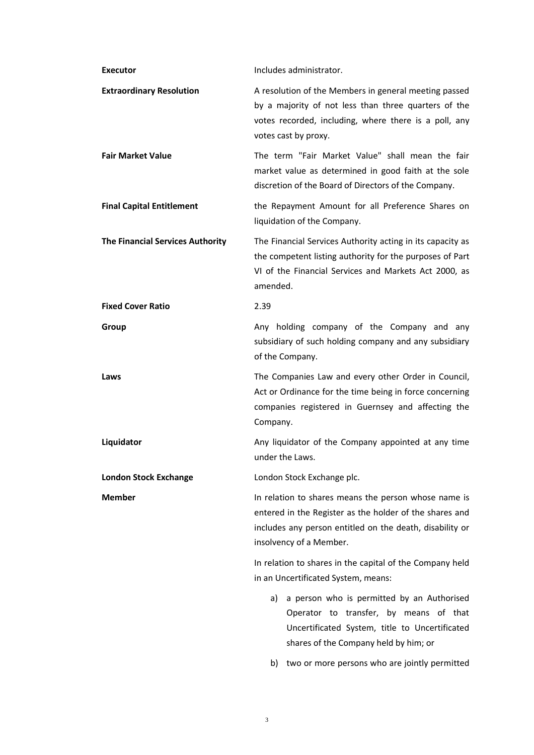| <b>Executor</b>                         | Includes administrator.                                                                                                                                                                                |
|-----------------------------------------|--------------------------------------------------------------------------------------------------------------------------------------------------------------------------------------------------------|
| <b>Extraordinary Resolution</b>         | A resolution of the Members in general meeting passed<br>by a majority of not less than three quarters of the<br>votes recorded, including, where there is a poll, any<br>votes cast by proxy.         |
| <b>Fair Market Value</b>                | The term "Fair Market Value" shall mean the fair<br>market value as determined in good faith at the sole<br>discretion of the Board of Directors of the Company.                                       |
| <b>Final Capital Entitlement</b>        | the Repayment Amount for all Preference Shares on<br>liquidation of the Company.                                                                                                                       |
| <b>The Financial Services Authority</b> | The Financial Services Authority acting in its capacity as<br>the competent listing authority for the purposes of Part<br>VI of the Financial Services and Markets Act 2000, as<br>amended.            |
| <b>Fixed Cover Ratio</b>                | 2.39                                                                                                                                                                                                   |
| Group                                   | Any holding company of the Company and any<br>subsidiary of such holding company and any subsidiary<br>of the Company.                                                                                 |
| Laws                                    | The Companies Law and every other Order in Council,<br>Act or Ordinance for the time being in force concerning<br>companies registered in Guernsey and affecting the<br>Company.                       |
|                                         |                                                                                                                                                                                                        |
| Liquidator                              | Any liquidator of the Company appointed at any time<br>under the Laws.                                                                                                                                 |
| <b>London Stock Exchange</b>            | London Stock Exchange plc.                                                                                                                                                                             |
| <b>Member</b>                           | In relation to shares means the person whose name is<br>entered in the Register as the holder of the shares and<br>includes any person entitled on the death, disability or<br>insolvency of a Member. |
|                                         | In relation to shares in the capital of the Company held<br>in an Uncertificated System, means:                                                                                                        |
|                                         | a person who is permitted by an Authorised<br>a)<br>Operator to transfer, by means of that<br>Uncertificated System, title to Uncertificated<br>shares of the Company held by him; or                  |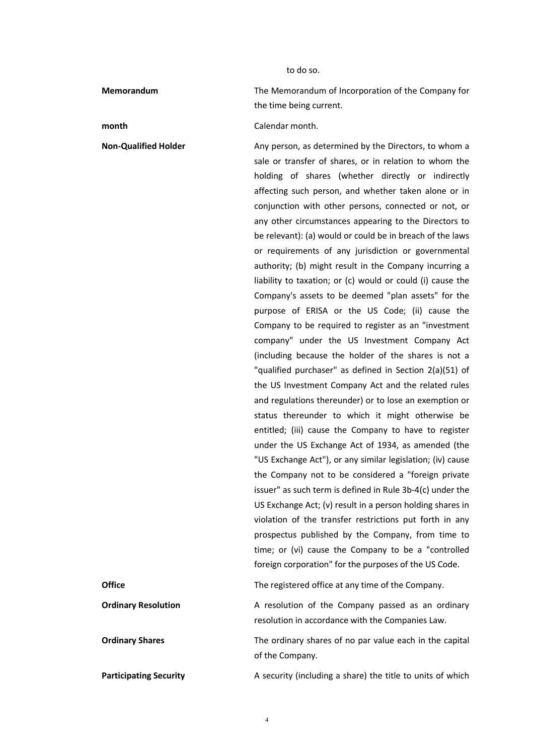to do so.

**Memorandum** The Memorandum of Incorporation of the Company for the time being current.

**month** Calendar month.

**Non-Qualified Holder** Any person, as determined by the Directors, to whom a sale or transfer of shares, or in relation to whom the holding of shares (whether directly or indirectly affecting such person, and whether taken alone or in conjunction with other persons, connected or not, or any other circumstances appearing to the Directors to be relevant): (a) would or could be in breach of the laws or requirements of any jurisdiction or governmental authority; (b) might result in the Company incurring a liability to taxation; or (c) would or could (i) cause the Company's assets to be deemed "plan assets" for the purpose of ERISA or the US Code; (ii) cause the Company to be required to register as an "investment company" under the US Investment Company Act (including because the holder of the shares is not a "qualified purchaser" as defined in Section 2(a)(51) of the US Investment Company Act and the related rules and regulations thereunder) or to lose an exemption or status thereunder to which it might otherwise be entitled; (iii) cause the Company to have to register under the US Exchange Act of 1934, as amended (the "US Exchange Act"), or any similar legislation; (iv) cause the Company not to be considered a "foreign private issuer" as such term is defined in Rule 3b-4(c) under the US Exchange Act; (v) result in a person holding shares in violation of the transfer restrictions put forth in any prospectus published by the Company, from time to time; or (vi) cause the Company to be a "controlled foreign corporation" for the purposes of the US Code.

| Office                        | The registered office at any time of the Company.                                                     |
|-------------------------------|-------------------------------------------------------------------------------------------------------|
| <b>Ordinary Resolution</b>    | A resolution of the Company passed as an ordinary<br>resolution in accordance with the Companies Law. |
| <b>Ordinary Shares</b>        | The ordinary shares of no par value each in the capital<br>of the Company.                            |
| <b>Participating Security</b> | A security (including a share) the title to units of which                                            |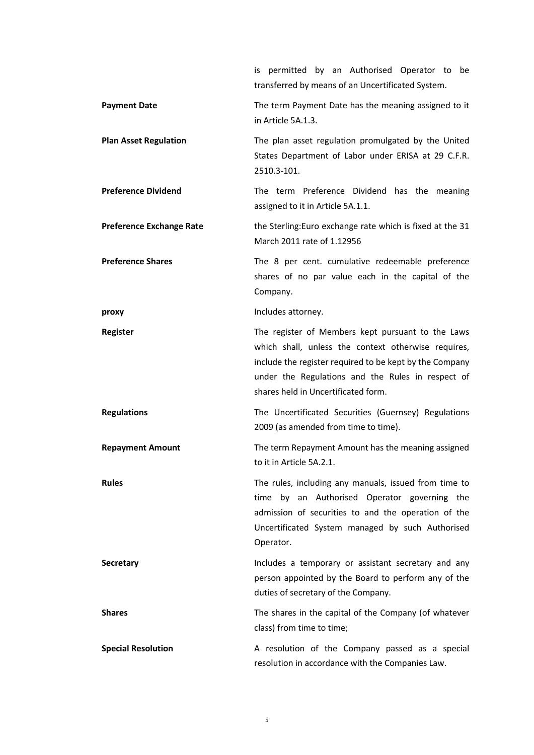|                                 | is permitted by an Authorised Operator to<br>be<br>transferred by means of an Uncertificated System.                                                                                                                                                            |
|---------------------------------|-----------------------------------------------------------------------------------------------------------------------------------------------------------------------------------------------------------------------------------------------------------------|
| <b>Payment Date</b>             | The term Payment Date has the meaning assigned to it<br>in Article 5A.1.3.                                                                                                                                                                                      |
| <b>Plan Asset Regulation</b>    | The plan asset regulation promulgated by the United<br>States Department of Labor under ERISA at 29 C.F.R.<br>2510.3-101.                                                                                                                                       |
| <b>Preference Dividend</b>      | The term Preference Dividend has the meaning<br>assigned to it in Article 5A.1.1.                                                                                                                                                                               |
| <b>Preference Exchange Rate</b> | the Sterling: Euro exchange rate which is fixed at the 31<br>March 2011 rate of 1.12956                                                                                                                                                                         |
| <b>Preference Shares</b>        | The 8 per cent. cumulative redeemable preference<br>shares of no par value each in the capital of the<br>Company.                                                                                                                                               |
| proxy                           | Includes attorney.                                                                                                                                                                                                                                              |
| <b>Register</b>                 | The register of Members kept pursuant to the Laws<br>which shall, unless the context otherwise requires,<br>include the register required to be kept by the Company<br>under the Regulations and the Rules in respect of<br>shares held in Uncertificated form. |
| <b>Regulations</b>              | The Uncertificated Securities (Guernsey) Regulations<br>2009 (as amended from time to time).                                                                                                                                                                    |
| <b>Repayment Amount</b>         | The term Repayment Amount has the meaning assigned<br>to it in Article 5A.2.1.                                                                                                                                                                                  |
| <b>Rules</b>                    | The rules, including any manuals, issued from time to<br>time by an Authorised Operator governing the<br>admission of securities to and the operation of the<br>Uncertificated System managed by such Authorised<br>Operator.                                   |
| <b>Secretary</b>                | Includes a temporary or assistant secretary and any<br>person appointed by the Board to perform any of the<br>duties of secretary of the Company.                                                                                                               |
| <b>Shares</b>                   | The shares in the capital of the Company (of whatever<br>class) from time to time;                                                                                                                                                                              |
| <b>Special Resolution</b>       | A resolution of the Company passed as a special<br>resolution in accordance with the Companies Law.                                                                                                                                                             |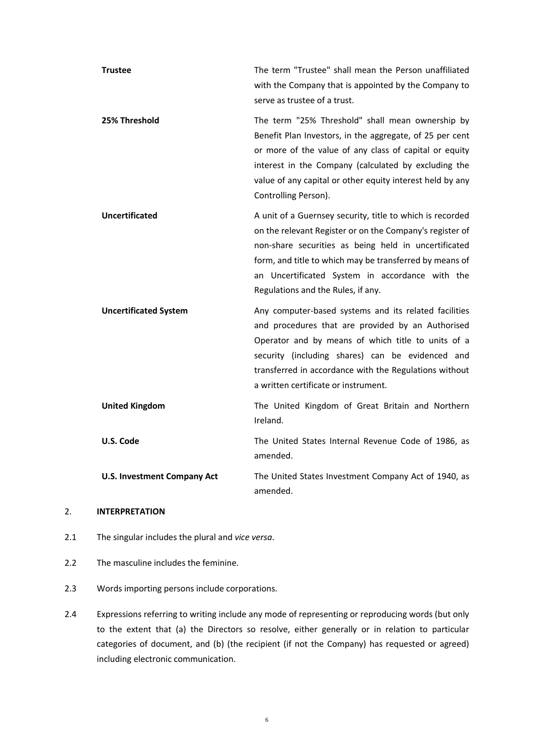| <b>Trustee</b>               | The term "Trustee" shall mean the Person unaffiliated<br>with the Company that is appointed by the Company to<br>serve as trustee of a trust.                                                                                                                                                                                     |
|------------------------------|-----------------------------------------------------------------------------------------------------------------------------------------------------------------------------------------------------------------------------------------------------------------------------------------------------------------------------------|
| 25% Threshold                | The term "25% Threshold" shall mean ownership by<br>Benefit Plan Investors, in the aggregate, of 25 per cent<br>or more of the value of any class of capital or equity<br>interest in the Company (calculated by excluding the<br>value of any capital or other equity interest held by any<br>Controlling Person).               |
| Uncertificated               | A unit of a Guernsey security, title to which is recorded<br>on the relevant Register or on the Company's register of<br>non-share securities as being held in uncertificated<br>form, and title to which may be transferred by means of<br>an Uncertificated System in accordance with the<br>Regulations and the Rules, if any. |
| <b>Uncertificated System</b> | Any computer-based systems and its related facilities<br>and procedures that are provided by an Authorised<br>Operator and by means of which title to units of a<br>security (including shares) can be evidenced and<br>transferred in accordance with the Regulations without<br>a written certificate or instrument.            |
| <b>United Kingdom</b>        | The United Kingdom of Great Britain and Northern<br>Ireland.                                                                                                                                                                                                                                                                      |
| U.S. Code                    | The United States Internal Revenue Code of 1986, as<br>amended.                                                                                                                                                                                                                                                                   |
|                              |                                                                                                                                                                                                                                                                                                                                   |

### 2. **INTERPRETATION**

- 2.1 The singular includes the plural and *vice versa*.
- 2.2 The masculine includes the feminine.
- 2.3 Words importing persons include corporations.
- 2.4 Expressions referring to writing include any mode of representing or reproducing words (but only to the extent that (a) the Directors so resolve, either generally or in relation to particular categories of document, and (b) (the recipient (if not the Company) has requested or agreed) including electronic communication.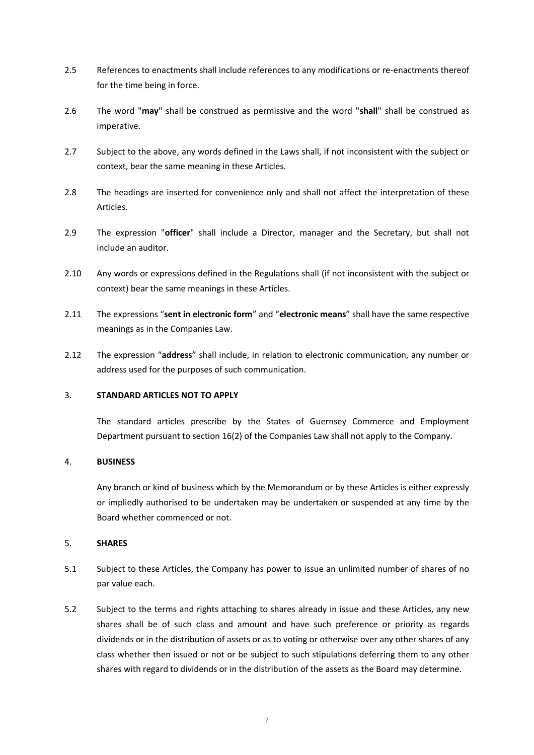- 2.5 References to enactments shall include references to any modifications or re-enactments thereof for the time being in force.
- 2.6 The word "**may**" shall be construed as permissive and the word "**shall**" shall be construed as imperative.
- 2.7 Subject to the above, any words defined in the Laws shall, if not inconsistent with the subject or context, bear the same meaning in these Articles.
- 2.8 The headings are inserted for convenience only and shall not affect the interpretation of these Articles.
- 2.9 The expression "**officer**" shall include a Director, manager and the Secretary, but shall not include an auditor.
- 2.10 Any words or expressions defined in the Regulations shall (if not inconsistent with the subject or context) bear the same meanings in these Articles.
- 2.11 The expressions "**sent in electronic form**" and "**electronic means**" shall have the same respective meanings as in the Companies Law.
- 2.12 The expression "**address**" shall include, in relation to electronic communication, any number or address used for the purposes of such communication.

### 3. **STANDARD ARTICLES NOT TO APPLY**

The standard articles prescribe by the States of Guernsey Commerce and Employment Department pursuant to section 16(2) of the Companies Law shall not apply to the Company.

### 4. **BUSINESS**

Any branch or kind of business which by the Memorandum or by these Articles is either expressly or impliedly authorised to be undertaken may be undertaken or suspended at any time by the Board whether commenced or not.

#### 5. **SHARES**

- 5.1 Subject to these Articles, the Company has power to issue an unlimited number of shares of no par value each.
- 5.2 Subject to the terms and rights attaching to shares already in issue and these Articles, any new shares shall be of such class and amount and have such preference or priority as regards dividends or in the distribution of assets or as to voting or otherwise over any other shares of any class whether then issued or not or be subject to such stipulations deferring them to any other shares with regard to dividends or in the distribution of the assets as the Board may determine.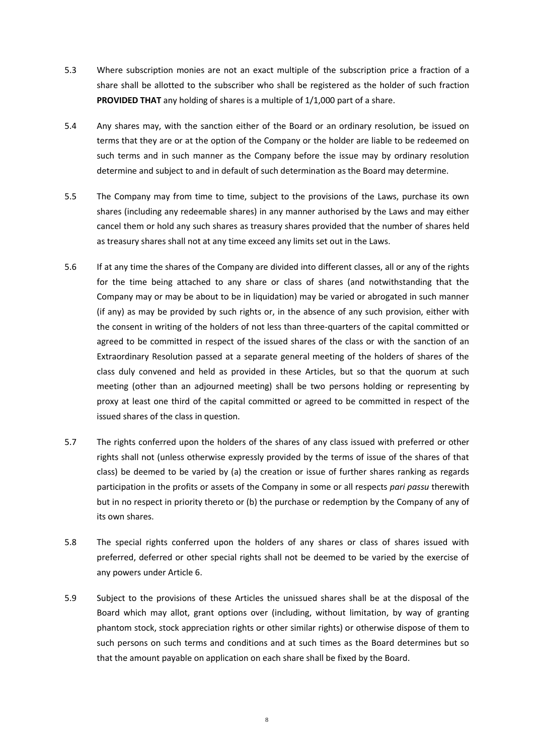- 5.3 Where subscription monies are not an exact multiple of the subscription price a fraction of a share shall be allotted to the subscriber who shall be registered as the holder of such fraction **PROVIDED THAT** any holding of shares is a multiple of 1/1,000 part of a share.
- 5.4 Any shares may, with the sanction either of the Board or an ordinary resolution, be issued on terms that they are or at the option of the Company or the holder are liable to be redeemed on such terms and in such manner as the Company before the issue may by ordinary resolution determine and subject to and in default of such determination as the Board may determine.
- 5.5 The Company may from time to time, subject to the provisions of the Laws, purchase its own shares (including any redeemable shares) in any manner authorised by the Laws and may either cancel them or hold any such shares as treasury shares provided that the number of shares held as treasury shares shall not at any time exceed any limits set out in the Laws.
- 5.6 If at any time the shares of the Company are divided into different classes, all or any of the rights for the time being attached to any share or class of shares (and notwithstanding that the Company may or may be about to be in liquidation) may be varied or abrogated in such manner (if any) as may be provided by such rights or, in the absence of any such provision, either with the consent in writing of the holders of not less than three-quarters of the capital committed or agreed to be committed in respect of the issued shares of the class or with the sanction of an Extraordinary Resolution passed at a separate general meeting of the holders of shares of the class duly convened and held as provided in these Articles, but so that the quorum at such meeting (other than an adjourned meeting) shall be two persons holding or representing by proxy at least one third of the capital committed or agreed to be committed in respect of the issued shares of the class in question.
- 5.7 The rights conferred upon the holders of the shares of any class issued with preferred or other rights shall not (unless otherwise expressly provided by the terms of issue of the shares of that class) be deemed to be varied by (a) the creation or issue of further shares ranking as regards participation in the profits or assets of the Company in some or all respects *pari passu* therewith but in no respect in priority thereto or (b) the purchase or redemption by the Company of any of its own shares.
- 5.8 The special rights conferred upon the holders of any shares or class of shares issued with preferred, deferred or other special rights shall not be deemed to be varied by the exercise of any powers under Articl[e 6.](#page-15-0)
- 5.9 Subject to the provisions of these Articles the unissued shares shall be at the disposal of the Board which may allot, grant options over (including, without limitation, by way of granting phantom stock, stock appreciation rights or other similar rights) or otherwise dispose of them to such persons on such terms and conditions and at such times as the Board determines but so that the amount payable on application on each share shall be fixed by the Board.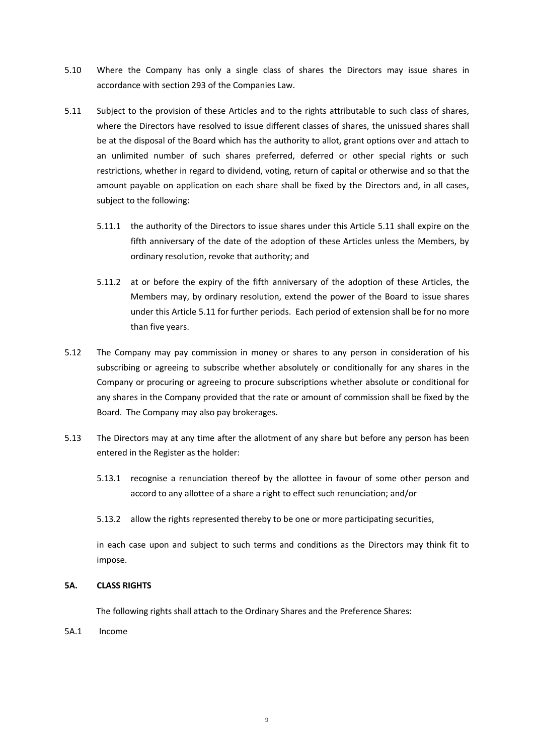- 5.10 Where the Company has only a single class of shares the Directors may issue shares in accordance with section 293 of the Companies Law.
- <span id="page-11-0"></span>5.11 Subject to the provision of these Articles and to the rights attributable to such class of shares, where the Directors have resolved to issue different classes of shares, the unissued shares shall be at the disposal of the Board which has the authority to allot, grant options over and attach to an unlimited number of such shares preferred, deferred or other special rights or such restrictions, whether in regard to dividend, voting, return of capital or otherwise and so that the amount payable on application on each share shall be fixed by the Directors and, in all cases, subject to the following:
	- 5.11.1 the authority of the Directors to issue shares under this Article [5.11](#page-11-0) shall expire on the fifth anniversary of the date of the adoption of these Articles unless the Members, by ordinary resolution, revoke that authority; and
	- 5.11.2 at or before the expiry of the fifth anniversary of the adoption of these Articles, the Members may, by ordinary resolution, extend the power of the Board to issue shares under this Articl[e 5.11](#page-11-0) for further periods. Each period of extension shall be for no more than five years.
- 5.12 The Company may pay commission in money or shares to any person in consideration of his subscribing or agreeing to subscribe whether absolutely or conditionally for any shares in the Company or procuring or agreeing to procure subscriptions whether absolute or conditional for any shares in the Company provided that the rate or amount of commission shall be fixed by the Board. The Company may also pay brokerages.
- 5.13 The Directors may at any time after the allotment of any share but before any person has been entered in the Register as the holder:
	- 5.13.1 recognise a renunciation thereof by the allottee in favour of some other person and accord to any allottee of a share a right to effect such renunciation; and/or
	- 5.13.2 allow the rights represented thereby to be one or more participating securities,

in each case upon and subject to such terms and conditions as the Directors may think fit to impose.

### **5A. CLASS RIGHTS**

The following rights shall attach to the Ordinary Shares and the Preference Shares:

5A.1 Income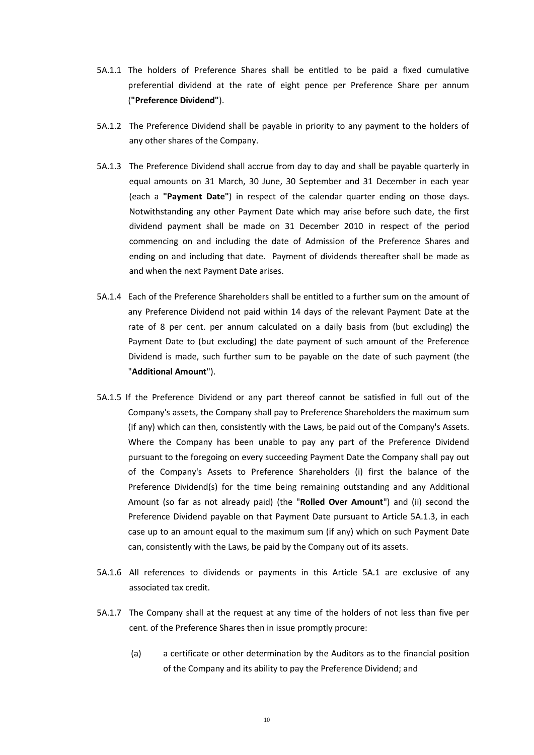- 5A.1.1 The holders of Preference Shares shall be entitled to be paid a fixed cumulative preferential dividend at the rate of eight pence per Preference Share per annum (**"Preference Dividend"**).
- 5A.1.2 The Preference Dividend shall be payable in priority to any payment to the holders of any other shares of the Company.
- 5A.1.3 The Preference Dividend shall accrue from day to day and shall be payable quarterly in equal amounts on 31 March, 30 June, 30 September and 31 December in each year (each a **"Payment Date"**) in respect of the calendar quarter ending on those days. Notwithstanding any other Payment Date which may arise before such date, the first dividend payment shall be made on 31 December 2010 in respect of the period commencing on and including the date of Admission of the Preference Shares and ending on and including that date. Payment of dividends thereafter shall be made as and when the next Payment Date arises.
- 5A.1.4 Each of the Preference Shareholders shall be entitled to a further sum on the amount of any Preference Dividend not paid within 14 days of the relevant Payment Date at the rate of 8 per cent. per annum calculated on a daily basis from (but excluding) the Payment Date to (but excluding) the date payment of such amount of the Preference Dividend is made, such further sum to be payable on the date of such payment (the "**Additional Amount**").
- 5A.1.5 If the Preference Dividend or any part thereof cannot be satisfied in full out of the Company's assets, the Company shall pay to Preference Shareholders the maximum sum (if any) which can then, consistently with the Laws, be paid out of the Company's Assets. Where the Company has been unable to pay any part of the Preference Dividend pursuant to the foregoing on every succeeding Payment Date the Company shall pay out of the Company's Assets to Preference Shareholders (i) first the balance of the Preference Dividend(s) for the time being remaining outstanding and any Additional Amount (so far as not already paid) (the "**Rolled Over Amount**") and (ii) second the Preference Dividend payable on that Payment Date pursuant to Article 5A.1.3, in each case up to an amount equal to the maximum sum (if any) which on such Payment Date can, consistently with the Laws, be paid by the Company out of its assets.
- 5A.1.6 All references to dividends or payments in this Article 5A.1 are exclusive of any associated tax credit.
- 5A.1.7 The Company shall at the request at any time of the holders of not less than five per cent. of the Preference Shares then in issue promptly procure:
	- (a) a certificate or other determination by the Auditors as to the financial position of the Company and its ability to pay the Preference Dividend; and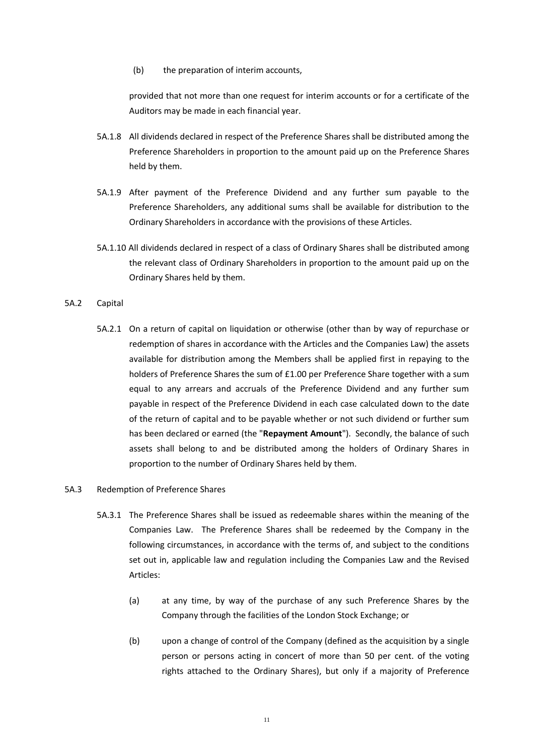(b) the preparation of interim accounts,

provided that not more than one request for interim accounts or for a certificate of the Auditors may be made in each financial year.

- 5A.1.8 All dividends declared in respect of the Preference Shares shall be distributed among the Preference Shareholders in proportion to the amount paid up on the Preference Shares held by them.
- 5A.1.9 After payment of the Preference Dividend and any further sum payable to the Preference Shareholders, any additional sums shall be available for distribution to the Ordinary Shareholders in accordance with the provisions of these Articles.
- 5A.1.10 All dividends declared in respect of a class of Ordinary Shares shall be distributed among the relevant class of Ordinary Shareholders in proportion to the amount paid up on the Ordinary Shares held by them.
- 5A.2 Capital
	- 5A.2.1 On a return of capital on liquidation or otherwise (other than by way of repurchase or redemption of shares in accordance with the Articles and the Companies Law) the assets available for distribution among the Members shall be applied first in repaying to the holders of Preference Shares the sum of £1.00 per Preference Share together with a sum equal to any arrears and accruals of the Preference Dividend and any further sum payable in respect of the Preference Dividend in each case calculated down to the date of the return of capital and to be payable whether or not such dividend or further sum has been declared or earned (the "**Repayment Amount**"). Secondly, the balance of such assets shall belong to and be distributed among the holders of Ordinary Shares in proportion to the number of Ordinary Shares held by them.
- 5A.3 Redemption of Preference Shares
	- 5A.3.1 The Preference Shares shall be issued as redeemable shares within the meaning of the Companies Law. The Preference Shares shall be redeemed by the Company in the following circumstances, in accordance with the terms of, and subject to the conditions set out in, applicable law and regulation including the Companies Law and the Revised Articles:
		- (a) at any time, by way of the purchase of any such Preference Shares by the Company through the facilities of the London Stock Exchange; or
		- (b) upon a change of control of the Company (defined as the acquisition by a single person or persons acting in concert of more than 50 per cent. of the voting rights attached to the Ordinary Shares), but only if a majority of Preference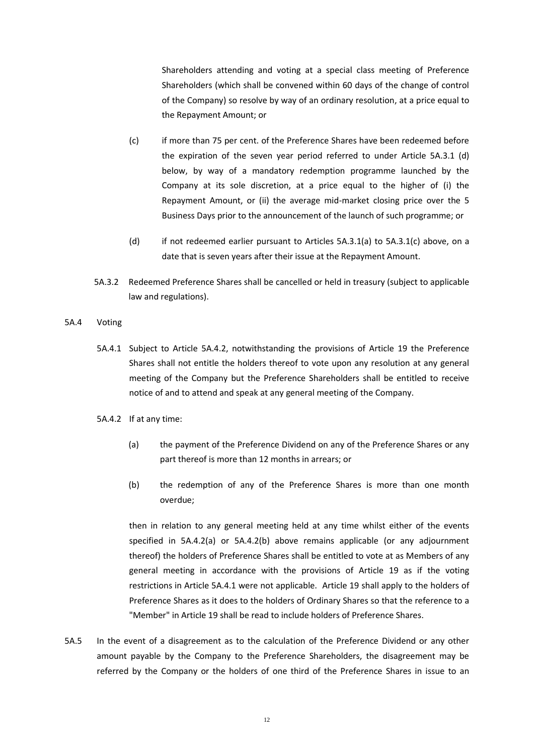Shareholders attending and voting at a special class meeting of Preference Shareholders (which shall be convened within 60 days of the change of control of the Company) so resolve by way of an ordinary resolution, at a price equal to the Repayment Amount; or

- (c) if more than 75 per cent. of the Preference Shares have been redeemed before the expiration of the seven year period referred to under Article 5A.3.1 (d) below, by way of a mandatory redemption programme launched by the Company at its sole discretion, at a price equal to the higher of (i) the Repayment Amount, or (ii) the average mid-market closing price over the 5 Business Days prior to the announcement of the launch of such programme; or
- (d) if not redeemed earlier pursuant to Articles 5A.3.1(a) to 5A.3.1(c) above, on a date that is seven years after their issue at the Repayment Amount.
- 5A.3.2 Redeemed Preference Shares shall be cancelled or held in treasury (subject to applicable law and regulations).
- 5A.4 Voting
	- 5A.4.1 Subject to Article 5A.4.2, notwithstanding the provisions of Article [19](#page-31-0) the Preference Shares shall not entitle the holders thereof to vote upon any resolution at any general meeting of the Company but the Preference Shareholders shall be entitled to receive notice of and to attend and speak at any general meeting of the Company.
	- 5A.4.2 If at any time:
		- (a) the payment of the Preference Dividend on any of the Preference Shares or any part thereof is more than 12 months in arrears; or
		- (b) the redemption of any of the Preference Shares is more than one month overdue;

then in relation to any general meeting held at any time whilst either of the events specified in 5A.4.2(a) or 5A.4.2(b) above remains applicable (or any adjournment thereof) the holders of Preference Shares shall be entitled to vote at as Members of any general meeting in accordance with the provisions of Article [19](#page-31-0) as if the voting restrictions in Article 5A.4.1 were not applicable. Articl[e 19](#page-31-0) shall apply to the holders of Preference Shares as it does to the holders of Ordinary Shares so that the reference to a "Member" in Article [19](#page-31-0) shall be read to include holders of Preference Shares.

5A.5 In the event of a disagreement as to the calculation of the Preference Dividend or any other amount payable by the Company to the Preference Shareholders, the disagreement may be referred by the Company or the holders of one third of the Preference Shares in issue to an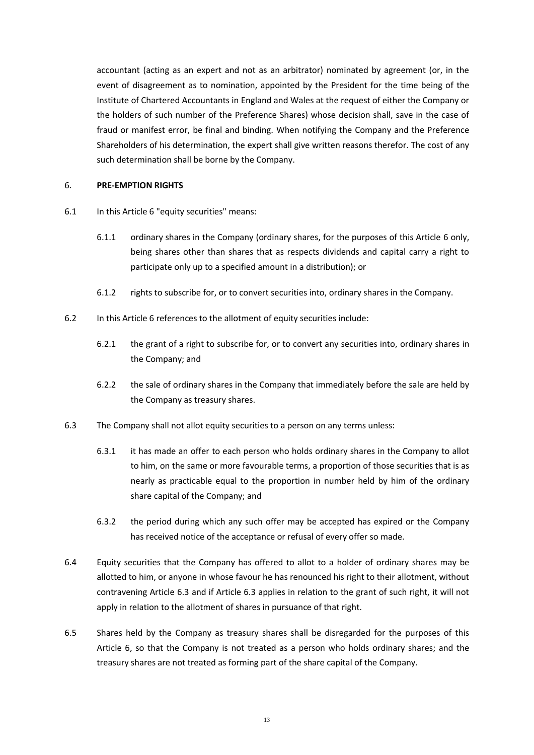accountant (acting as an expert and not as an arbitrator) nominated by agreement (or, in the event of disagreement as to nomination, appointed by the President for the time being of the Institute of Chartered Accountants in England and Wales at the request of either the Company or the holders of such number of the Preference Shares) whose decision shall, save in the case of fraud or manifest error, be final and binding. When notifying the Company and the Preference Shareholders of his determination, the expert shall give written reasons therefor. The cost of any such determination shall be borne by the Company.

#### <span id="page-15-0"></span>6. **PRE-EMPTION RIGHTS**

- 6.1 In this Articl[e 6](#page-15-0) "equity securities" means:
	- 6.1.1 ordinary shares in the Company (ordinary shares, for the purposes of this Article [6](#page-15-0) only, being shares other than shares that as respects dividends and capital carry a right to participate only up to a specified amount in a distribution); or
	- 6.1.2 rights to subscribe for, or to convert securities into, ordinary shares in the Company.
- 6.2 In this Articl[e 6](#page-15-0) references to the allotment of equity securities include:
	- 6.2.1 the grant of a right to subscribe for, or to convert any securities into, ordinary shares in the Company; and
	- 6.2.2 the sale of ordinary shares in the Company that immediately before the sale are held by the Company as treasury shares.
- <span id="page-15-1"></span>6.3 The Company shall not allot equity securities to a person on any terms unless:
	- 6.3.1 it has made an offer to each person who holds ordinary shares in the Company to allot to him, on the same or more favourable terms, a proportion of those securities that is as nearly as practicable equal to the proportion in number held by him of the ordinary share capital of the Company; and
	- 6.3.2 the period during which any such offer may be accepted has expired or the Company has received notice of the acceptance or refusal of every offer so made.
- 6.4 Equity securities that the Company has offered to allot to a holder of ordinary shares may be allotted to him, or anyone in whose favour he has renounced his right to their allotment, without contravening Article [6.3](#page-15-1) and if Article [6.3](#page-15-1) applies in relation to the grant of such right, it will not apply in relation to the allotment of shares in pursuance of that right.
- 6.5 Shares held by the Company as treasury shares shall be disregarded for the purposes of this Article [6,](#page-15-0) so that the Company is not treated as a person who holds ordinary shares; and the treasury shares are not treated as forming part of the share capital of the Company.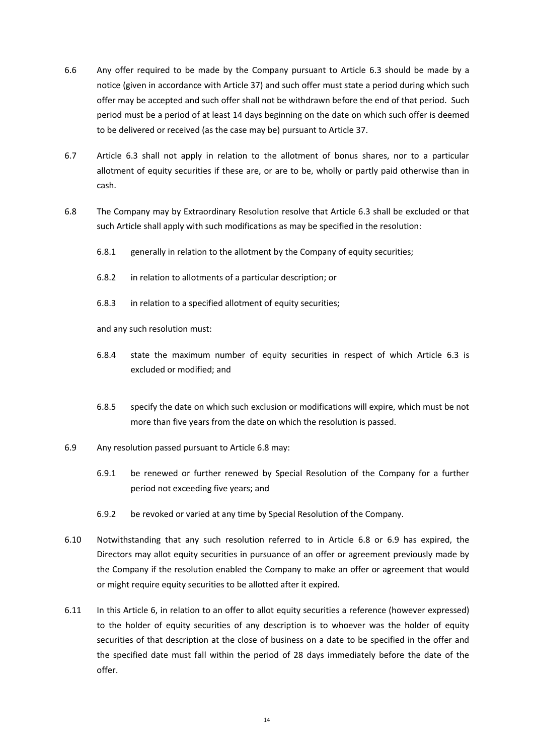- 6.6 Any offer required to be made by the Company pursuant to Article [6.3](#page-15-1) should be made by a notice (given in accordance with Article [37\)](#page-48-0) and such offer must state a period during which such offer may be accepted and such offer shall not be withdrawn before the end of that period. Such period must be a period of at least 14 days beginning on the date on which such offer is deemed to be delivered or received (as the case may be) pursuant to Article [37.](#page-48-0)
- 6.7 Article [6.3](#page-15-1) shall not apply in relation to the allotment of bonus shares, nor to a particular allotment of equity securities if these are, or are to be, wholly or partly paid otherwise than in cash.
- <span id="page-16-0"></span>6.8 The Company may by Extraordinary Resolution resolve that Article [6.3](#page-15-1) shall be excluded or that such Article shall apply with such modifications as may be specified in the resolution:
	- 6.8.1 generally in relation to the allotment by the Company of equity securities;
	- 6.8.2 in relation to allotments of a particular description; or
	- 6.8.3 in relation to a specified allotment of equity securities;

and any such resolution must:

- 6.8.4 state the maximum number of equity securities in respect of which Article [6.3](#page-15-1) is excluded or modified; and
- 6.8.5 specify the date on which such exclusion or modifications will expire, which must be not more than five years from the date on which the resolution is passed.
- <span id="page-16-1"></span>6.9 Any resolution passed pursuant to Articl[e 6.8](#page-16-0) may:
	- 6.9.1 be renewed or further renewed by Special Resolution of the Company for a further period not exceeding five years; and
	- 6.9.2 be revoked or varied at any time by Special Resolution of the Company.
- 6.10 Notwithstanding that any such resolution referred to in Article [6.8](#page-16-0) or [6.9](#page-16-1) has expired, the Directors may allot equity securities in pursuance of an offer or agreement previously made by the Company if the resolution enabled the Company to make an offer or agreement that would or might require equity securities to be allotted after it expired.
- 6.11 In this Article [6,](#page-15-0) in relation to an offer to allot equity securities a reference (however expressed) to the holder of equity securities of any description is to whoever was the holder of equity securities of that description at the close of business on a date to be specified in the offer and the specified date must fall within the period of 28 days immediately before the date of the offer.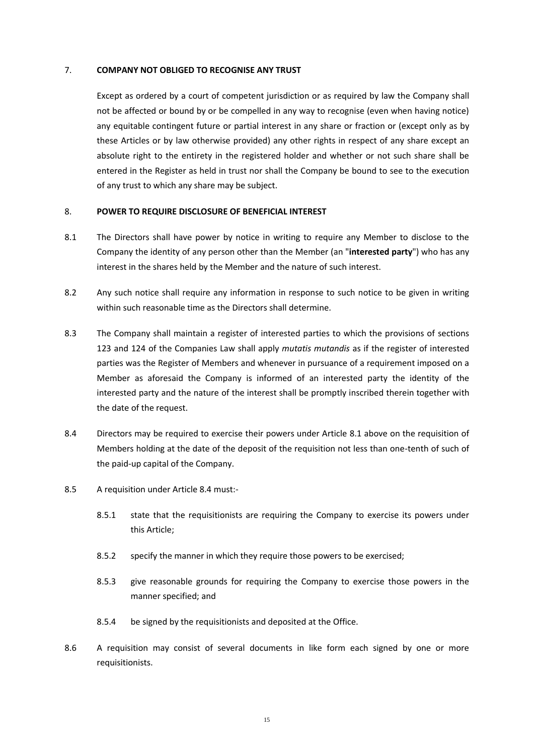#### 7. **COMPANY NOT OBLIGED TO RECOGNISE ANY TRUST**

Except as ordered by a court of competent jurisdiction or as required by law the Company shall not be affected or bound by or be compelled in any way to recognise (even when having notice) any equitable contingent future or partial interest in any share or fraction or (except only as by these Articles or by law otherwise provided) any other rights in respect of any share except an absolute right to the entirety in the registered holder and whether or not such share shall be entered in the Register as held in trust nor shall the Company be bound to see to the execution of any trust to which any share may be subject.

#### 8. **POWER TO REQUIRE DISCLOSURE OF BENEFICIAL INTEREST**

- <span id="page-17-0"></span>8.1 The Directors shall have power by notice in writing to require any Member to disclose to the Company the identity of any person other than the Member (an "**interested party**") who has any interest in the shares held by the Member and the nature of such interest.
- 8.2 Any such notice shall require any information in response to such notice to be given in writing within such reasonable time as the Directors shall determine.
- 8.3 The Company shall maintain a register of interested parties to which the provisions of sections 123 and 124 of the Companies Law shall apply *mutatis mutandis* as if the register of interested parties was the Register of Members and whenever in pursuance of a requirement imposed on a Member as aforesaid the Company is informed of an interested party the identity of the interested party and the nature of the interest shall be promptly inscribed therein together with the date of the request.
- <span id="page-17-1"></span>8.4 Directors may be required to exercise their powers under Article [8.1](#page-17-0) above on the requisition of Members holding at the date of the deposit of the requisition not less than one-tenth of such of the paid-up capital of the Company.
- 8.5 A requisition under Articl[e 8.4](#page-17-1) must:-
	- 8.5.1 state that the requisitionists are requiring the Company to exercise its powers under this Article;
	- 8.5.2 specify the manner in which they require those powers to be exercised;
	- 8.5.3 give reasonable grounds for requiring the Company to exercise those powers in the manner specified; and
	- 8.5.4 be signed by the requisitionists and deposited at the Office.
- 8.6 A requisition may consist of several documents in like form each signed by one or more requisitionists.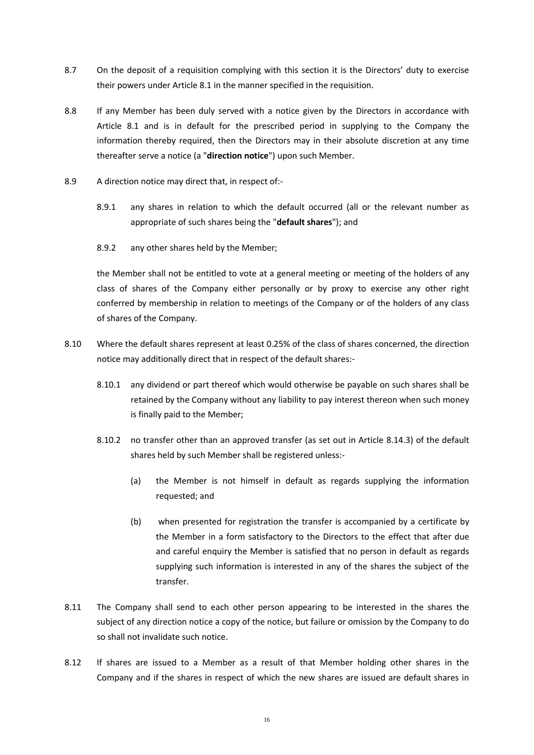- 8.7 On the deposit of a requisition complying with this section it is the Directors' duty to exercise their powers under Articl[e 8.1](#page-17-0) in the manner specified in the requisition.
- 8.8 If any Member has been duly served with a notice given by the Directors in accordance with Article [8.1](#page-17-0) and is in default for the prescribed period in supplying to the Company the information thereby required, then the Directors may in their absolute discretion at any time thereafter serve a notice (a "**direction notice**") upon such Member.
- <span id="page-18-0"></span>8.9 A direction notice may direct that, in respect of:-
	- 8.9.1 any shares in relation to which the default occurred (all or the relevant number as appropriate of such shares being the "**default shares**"); and
	- 8.9.2 any other shares held by the Member;

the Member shall not be entitled to vote at a general meeting or meeting of the holders of any class of shares of the Company either personally or by proxy to exercise any other right conferred by membership in relation to meetings of the Company or of the holders of any class of shares of the Company.

- <span id="page-18-2"></span><span id="page-18-1"></span>8.10 Where the default shares represent at least 0.25% of the class of shares concerned, the direction notice may additionally direct that in respect of the default shares:-
	- 8.10.1 any dividend or part thereof which would otherwise be payable on such shares shall be retained by the Company without any liability to pay interest thereon when such money is finally paid to the Member;
	- 8.10.2 no transfer other than an approved transfer (as set out in Article [8.14.3\)](#page-19-0) of the default shares held by such Member shall be registered unless:-
		- (a) the Member is not himself in default as regards supplying the information requested; and
		- (b) when presented for registration the transfer is accompanied by a certificate by the Member in a form satisfactory to the Directors to the effect that after due and careful enquiry the Member is satisfied that no person in default as regards supplying such information is interested in any of the shares the subject of the transfer.
- 8.11 The Company shall send to each other person appearing to be interested in the shares the subject of any direction notice a copy of the notice, but failure or omission by the Company to do so shall not invalidate such notice.
- 8.12 If shares are issued to a Member as a result of that Member holding other shares in the Company and if the shares in respect of which the new shares are issued are default shares in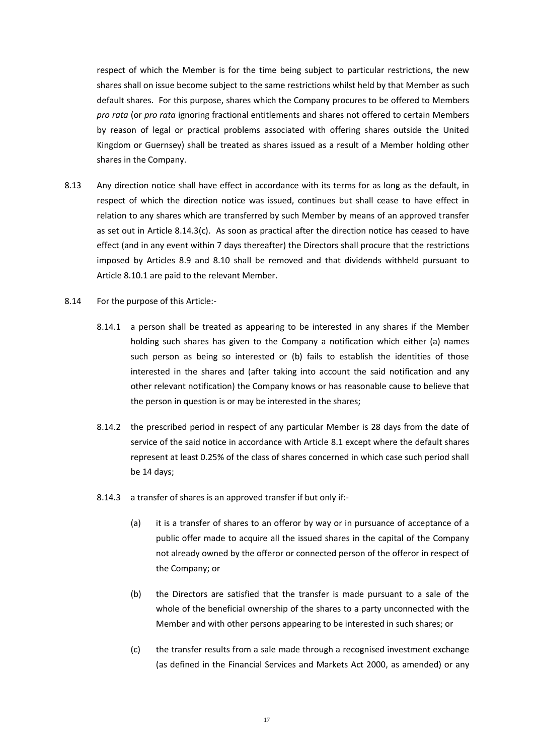respect of which the Member is for the time being subject to particular restrictions, the new shares shall on issue become subject to the same restrictions whilst held by that Member as such default shares. For this purpose, shares which the Company procures to be offered to Members *pro rata* (or *pro rata* ignoring fractional entitlements and shares not offered to certain Members by reason of legal or practical problems associated with offering shares outside the United Kingdom or Guernsey) shall be treated as shares issued as a result of a Member holding other shares in the Company.

- 8.13 Any direction notice shall have effect in accordance with its terms for as long as the default, in respect of which the direction notice was issued, continues but shall cease to have effect in relation to any shares which are transferred by such Member by means of an approved transfer as set out in Article [8.14.3\(c\).](#page-19-1) As soon as practical after the direction notice has ceased to have effect (and in any event within 7 days thereafter) the Directors shall procure that the restrictions imposed by Articles [8.9](#page-18-0) and [8.10](#page-18-1) shall be removed and that dividends withheld pursuant to Article [8.10.1](#page-18-2) are paid to the relevant Member.
- <span id="page-19-1"></span><span id="page-19-0"></span>8.14 For the purpose of this Article:-
	- 8.14.1 a person shall be treated as appearing to be interested in any shares if the Member holding such shares has given to the Company a notification which either (a) names such person as being so interested or (b) fails to establish the identities of those interested in the shares and (after taking into account the said notification and any other relevant notification) the Company knows or has reasonable cause to believe that the person in question is or may be interested in the shares;
	- 8.14.2 the prescribed period in respect of any particular Member is 28 days from the date of service of the said notice in accordance with Article [8.1](#page-17-0) except where the default shares represent at least 0.25% of the class of shares concerned in which case such period shall be 14 days;
	- 8.14.3 a transfer of shares is an approved transfer if but only if:-
		- (a) it is a transfer of shares to an offeror by way or in pursuance of acceptance of a public offer made to acquire all the issued shares in the capital of the Company not already owned by the offeror or connected person of the offeror in respect of the Company; or
		- (b) the Directors are satisfied that the transfer is made pursuant to a sale of the whole of the beneficial ownership of the shares to a party unconnected with the Member and with other persons appearing to be interested in such shares; or
		- (c) the transfer results from a sale made through a recognised investment exchange (as defined in the Financial Services and Markets Act 2000, as amended) or any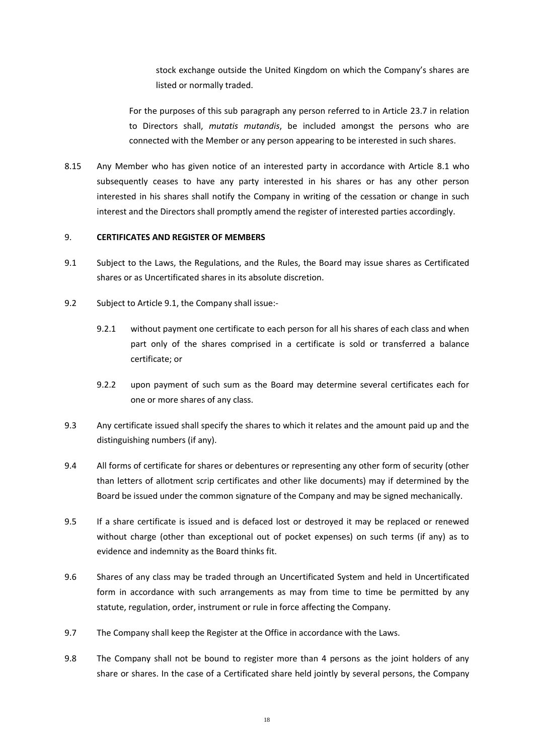stock exchange outside the United Kingdom on which the Company's shares are listed or normally traded.

For the purposes of this sub paragraph any person referred to in Article [23.7](#page-38-0) in relation to Directors shall, *mutatis mutandis*, be included amongst the persons who are connected with the Member or any person appearing to be interested in such shares.

8.15 Any Member who has given notice of an interested party in accordance with Article [8.1](#page-17-0) who subsequently ceases to have any party interested in his shares or has any other person interested in his shares shall notify the Company in writing of the cessation or change in such interest and the Directors shall promptly amend the register of interested parties accordingly.

#### 9. **CERTIFICATES AND REGISTER OF MEMBERS**

- <span id="page-20-0"></span>9.1 Subject to the Laws, the Regulations, and the Rules, the Board may issue shares as Certificated shares or as Uncertificated shares in its absolute discretion.
- 9.2 Subject to Articl[e 9.1,](#page-20-0) the Company shall issue:-
	- 9.2.1 without payment one certificate to each person for all his shares of each class and when part only of the shares comprised in a certificate is sold or transferred a balance certificate; or
	- 9.2.2 upon payment of such sum as the Board may determine several certificates each for one or more shares of any class.
- 9.3 Any certificate issued shall specify the shares to which it relates and the amount paid up and the distinguishing numbers (if any).
- 9.4 All forms of certificate for shares or debentures or representing any other form of security (other than letters of allotment scrip certificates and other like documents) may if determined by the Board be issued under the common signature of the Company and may be signed mechanically.
- 9.5 If a share certificate is issued and is defaced lost or destroyed it may be replaced or renewed without charge (other than exceptional out of pocket expenses) on such terms (if any) as to evidence and indemnity as the Board thinks fit.
- 9.6 Shares of any class may be traded through an Uncertificated System and held in Uncertificated form in accordance with such arrangements as may from time to time be permitted by any statute, regulation, order, instrument or rule in force affecting the Company.
- 9.7 The Company shall keep the Register at the Office in accordance with the Laws.
- 9.8 The Company shall not be bound to register more than 4 persons as the joint holders of any share or shares. In the case of a Certificated share held jointly by several persons, the Company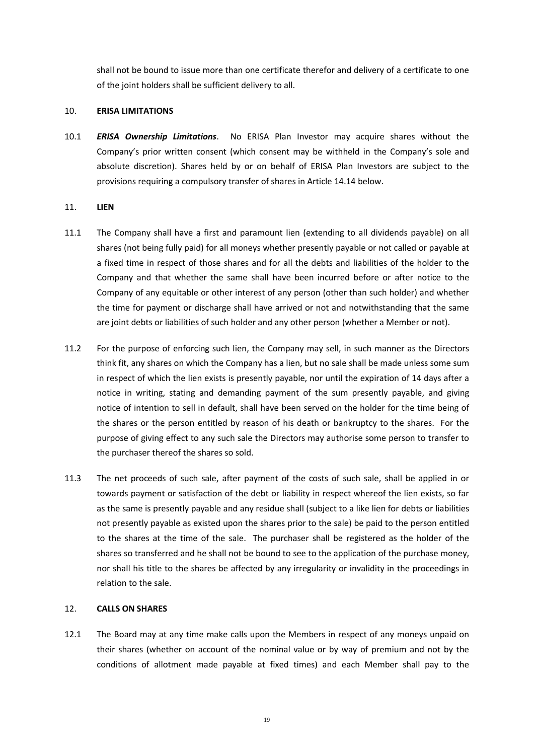shall not be bound to issue more than one certificate therefor and delivery of a certificate to one of the joint holders shall be sufficient delivery to all.

#### <span id="page-21-0"></span>10. **ERISA LIMITATIONS**

10.1 *ERISA Ownership Limitations*. No ERISA Plan Investor may acquire shares without the Company's prior written consent (which consent may be withheld in the Company's sole and absolute discretion). Shares held by or on behalf of ERISA Plan Investors are subject to the provisions requiring a compulsory transfer of shares in Articl[e 14.14](#page-26-0) below.

#### 11. **LIEN**

- 11.1 The Company shall have a first and paramount lien (extending to all dividends payable) on all shares (not being fully paid) for all moneys whether presently payable or not called or payable at a fixed time in respect of those shares and for all the debts and liabilities of the holder to the Company and that whether the same shall have been incurred before or after notice to the Company of any equitable or other interest of any person (other than such holder) and whether the time for payment or discharge shall have arrived or not and notwithstanding that the same are joint debts or liabilities of such holder and any other person (whether a Member or not).
- 11.2 For the purpose of enforcing such lien, the Company may sell, in such manner as the Directors think fit, any shares on which the Company has a lien, but no sale shall be made unless some sum in respect of which the lien exists is presently payable, nor until the expiration of 14 days after a notice in writing, stating and demanding payment of the sum presently payable, and giving notice of intention to sell in default, shall have been served on the holder for the time being of the shares or the person entitled by reason of his death or bankruptcy to the shares. For the purpose of giving effect to any such sale the Directors may authorise some person to transfer to the purchaser thereof the shares so sold.
- 11.3 The net proceeds of such sale, after payment of the costs of such sale, shall be applied in or towards payment or satisfaction of the debt or liability in respect whereof the lien exists, so far as the same is presently payable and any residue shall (subject to a like lien for debts or liabilities not presently payable as existed upon the shares prior to the sale) be paid to the person entitled to the shares at the time of the sale. The purchaser shall be registered as the holder of the shares so transferred and he shall not be bound to see to the application of the purchase money, nor shall his title to the shares be affected by any irregularity or invalidity in the proceedings in relation to the sale.

#### 12. **CALLS ON SHARES**

12.1 The Board may at any time make calls upon the Members in respect of any moneys unpaid on their shares (whether on account of the nominal value or by way of premium and not by the conditions of allotment made payable at fixed times) and each Member shall pay to the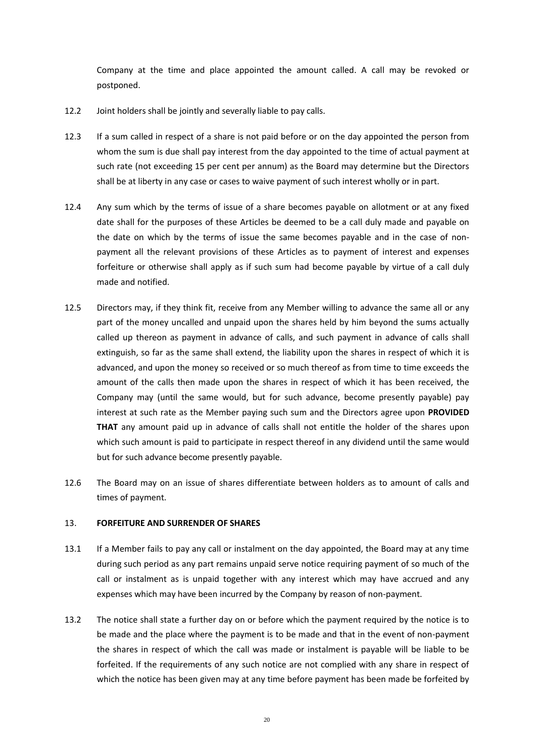Company at the time and place appointed the amount called. A call may be revoked or postponed.

- 12.2 Joint holders shall be jointly and severally liable to pay calls.
- 12.3 If a sum called in respect of a share is not paid before or on the day appointed the person from whom the sum is due shall pay interest from the day appointed to the time of actual payment at such rate (not exceeding 15 per cent per annum) as the Board may determine but the Directors shall be at liberty in any case or cases to waive payment of such interest wholly or in part.
- 12.4 Any sum which by the terms of issue of a share becomes payable on allotment or at any fixed date shall for the purposes of these Articles be deemed to be a call duly made and payable on the date on which by the terms of issue the same becomes payable and in the case of nonpayment all the relevant provisions of these Articles as to payment of interest and expenses forfeiture or otherwise shall apply as if such sum had become payable by virtue of a call duly made and notified.
- 12.5 Directors may, if they think fit, receive from any Member willing to advance the same all or any part of the money uncalled and unpaid upon the shares held by him beyond the sums actually called up thereon as payment in advance of calls, and such payment in advance of calls shall extinguish, so far as the same shall extend, the liability upon the shares in respect of which it is advanced, and upon the money so received or so much thereof as from time to time exceeds the amount of the calls then made upon the shares in respect of which it has been received, the Company may (until the same would, but for such advance, become presently payable) pay interest at such rate as the Member paying such sum and the Directors agree upon **PROVIDED THAT** any amount paid up in advance of calls shall not entitle the holder of the shares upon which such amount is paid to participate in respect thereof in any dividend until the same would but for such advance become presently payable.
- 12.6 The Board may on an issue of shares differentiate between holders as to amount of calls and times of payment.

### <span id="page-22-0"></span>13. **FORFEITURE AND SURRENDER OF SHARES**

- 13.1 If a Member fails to pay any call or instalment on the day appointed, the Board may at any time during such period as any part remains unpaid serve notice requiring payment of so much of the call or instalment as is unpaid together with any interest which may have accrued and any expenses which may have been incurred by the Company by reason of non-payment.
- 13.2 The notice shall state a further day on or before which the payment required by the notice is to be made and the place where the payment is to be made and that in the event of non-payment the shares in respect of which the call was made or instalment is payable will be liable to be forfeited. If the requirements of any such notice are not complied with any share in respect of which the notice has been given may at any time before payment has been made be forfeited by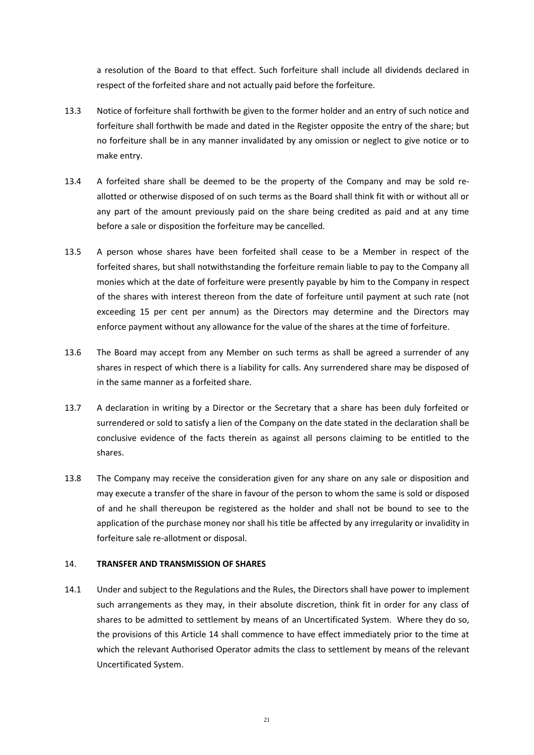a resolution of the Board to that effect. Such forfeiture shall include all dividends declared in respect of the forfeited share and not actually paid before the forfeiture.

- 13.3 Notice of forfeiture shall forthwith be given to the former holder and an entry of such notice and forfeiture shall forthwith be made and dated in the Register opposite the entry of the share; but no forfeiture shall be in any manner invalidated by any omission or neglect to give notice or to make entry.
- 13.4 A forfeited share shall be deemed to be the property of the Company and may be sold reallotted or otherwise disposed of on such terms as the Board shall think fit with or without all or any part of the amount previously paid on the share being credited as paid and at any time before a sale or disposition the forfeiture may be cancelled.
- 13.5 A person whose shares have been forfeited shall cease to be a Member in respect of the forfeited shares, but shall notwithstanding the forfeiture remain liable to pay to the Company all monies which at the date of forfeiture were presently payable by him to the Company in respect of the shares with interest thereon from the date of forfeiture until payment at such rate (not exceeding 15 per cent per annum) as the Directors may determine and the Directors may enforce payment without any allowance for the value of the shares at the time of forfeiture.
- 13.6 The Board may accept from any Member on such terms as shall be agreed a surrender of any shares in respect of which there is a liability for calls. Any surrendered share may be disposed of in the same manner as a forfeited share.
- 13.7 A declaration in writing by a Director or the Secretary that a share has been duly forfeited or surrendered or sold to satisfy a lien of the Company on the date stated in the declaration shall be conclusive evidence of the facts therein as against all persons claiming to be entitled to the shares.
- 13.8 The Company may receive the consideration given for any share on any sale or disposition and may execute a transfer of the share in favour of the person to whom the same is sold or disposed of and he shall thereupon be registered as the holder and shall not be bound to see to the application of the purchase money nor shall his title be affected by any irregularity or invalidity in forfeiture sale re-allotment or disposal.

### <span id="page-23-0"></span>14. **TRANSFER AND TRANSMISSION OF SHARES**

14.1 Under and subject to the Regulations and the Rules, the Directors shall have power to implement such arrangements as they may, in their absolute discretion, think fit in order for any class of shares to be admitted to settlement by means of an Uncertificated System. Where they do so, the provisions of this Article [14](#page-23-0) shall commence to have effect immediately prior to the time at which the relevant Authorised Operator admits the class to settlement by means of the relevant Uncertificated System.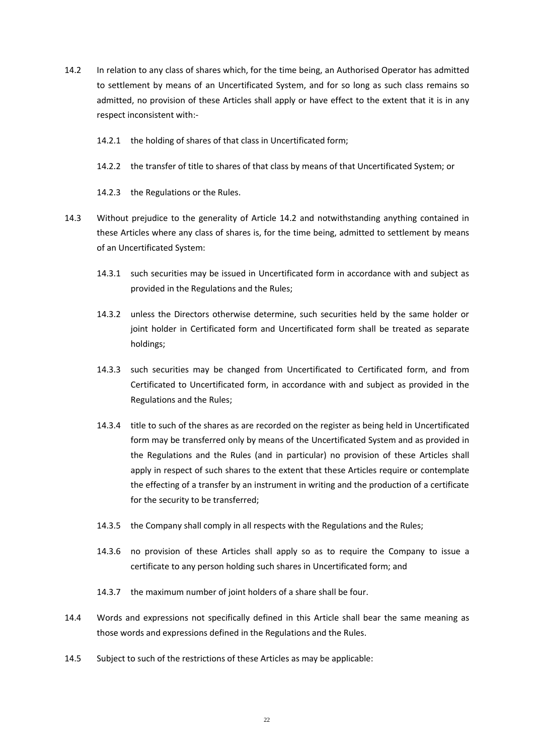- <span id="page-24-0"></span>14.2 In relation to any class of shares which, for the time being, an Authorised Operator has admitted to settlement by means of an Uncertificated System, and for so long as such class remains so admitted, no provision of these Articles shall apply or have effect to the extent that it is in any respect inconsistent with:-
	- 14.2.1 the holding of shares of that class in Uncertificated form;
	- 14.2.2 the transfer of title to shares of that class by means of that Uncertificated System; or
	- 14.2.3 the Regulations or the Rules.
- 14.3 Without prejudice to the generality of Article [14.2](#page-24-0) and notwithstanding anything contained in these Articles where any class of shares is, for the time being, admitted to settlement by means of an Uncertificated System:
	- 14.3.1 such securities may be issued in Uncertificated form in accordance with and subject as provided in the Regulations and the Rules;
	- 14.3.2 unless the Directors otherwise determine, such securities held by the same holder or joint holder in Certificated form and Uncertificated form shall be treated as separate holdings;
	- 14.3.3 such securities may be changed from Uncertificated to Certificated form, and from Certificated to Uncertificated form, in accordance with and subject as provided in the Regulations and the Rules;
	- 14.3.4 title to such of the shares as are recorded on the register as being held in Uncertificated form may be transferred only by means of the Uncertificated System and as provided in the Regulations and the Rules (and in particular) no provision of these Articles shall apply in respect of such shares to the extent that these Articles require or contemplate the effecting of a transfer by an instrument in writing and the production of a certificate for the security to be transferred;
	- 14.3.5 the Company shall comply in all respects with the Regulations and the Rules;
	- 14.3.6 no provision of these Articles shall apply so as to require the Company to issue a certificate to any person holding such shares in Uncertificated form; and
	- 14.3.7 the maximum number of joint holders of a share shall be four.
- 14.4 Words and expressions not specifically defined in this Article shall bear the same meaning as those words and expressions defined in the Regulations and the Rules.
- 14.5 Subject to such of the restrictions of these Articles as may be applicable: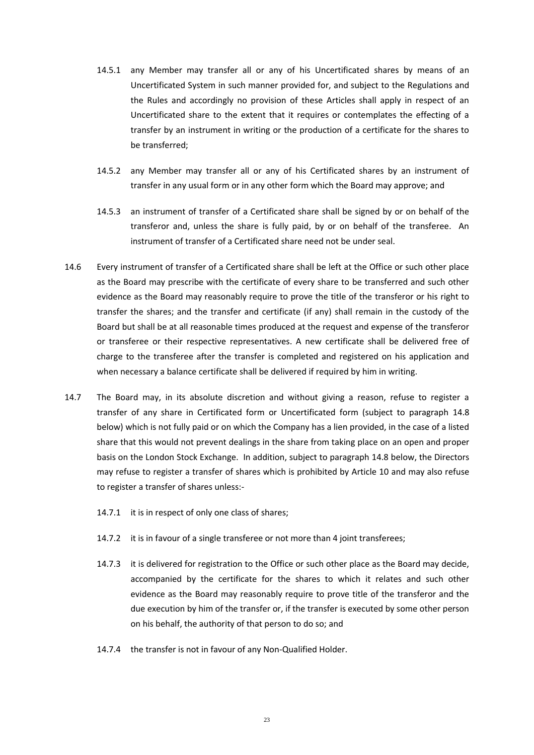- 14.5.1 any Member may transfer all or any of his Uncertificated shares by means of an Uncertificated System in such manner provided for, and subject to the Regulations and the Rules and accordingly no provision of these Articles shall apply in respect of an Uncertificated share to the extent that it requires or contemplates the effecting of a transfer by an instrument in writing or the production of a certificate for the shares to be transferred;
- 14.5.2 any Member may transfer all or any of his Certificated shares by an instrument of transfer in any usual form or in any other form which the Board may approve; and
- 14.5.3 an instrument of transfer of a Certificated share shall be signed by or on behalf of the transferor and, unless the share is fully paid, by or on behalf of the transferee. An instrument of transfer of a Certificated share need not be under seal.
- 14.6 Every instrument of transfer of a Certificated share shall be left at the Office or such other place as the Board may prescribe with the certificate of every share to be transferred and such other evidence as the Board may reasonably require to prove the title of the transferor or his right to transfer the shares; and the transfer and certificate (if any) shall remain in the custody of the Board but shall be at all reasonable times produced at the request and expense of the transferor or transferee or their respective representatives. A new certificate shall be delivered free of charge to the transferee after the transfer is completed and registered on his application and when necessary a balance certificate shall be delivered if required by him in writing.
- 14.7 The Board may, in its absolute discretion and without giving a reason, refuse to register a transfer of any share in Certificated form or Uncertificated form (subject to paragraph [14.8](#page-26-1) below) which is not fully paid or on which the Company has a lien provided, in the case of a listed share that this would not prevent dealings in the share from taking place on an open and proper basis on the London Stock Exchange. In addition, subject to paragraph [14.8](#page-26-1) below, the Directors may refuse to register a transfer of shares which is prohibited by Article [10](#page-21-0) and may also refuse to register a transfer of shares unless:-
	- 14.7.1 it is in respect of only one class of shares;
	- 14.7.2 it is in favour of a single transferee or not more than 4 joint transferees;
	- 14.7.3 it is delivered for registration to the Office or such other place as the Board may decide, accompanied by the certificate for the shares to which it relates and such other evidence as the Board may reasonably require to prove title of the transferor and the due execution by him of the transfer or, if the transfer is executed by some other person on his behalf, the authority of that person to do so; and
	- 14.7.4 the transfer is not in favour of any Non-Qualified Holder.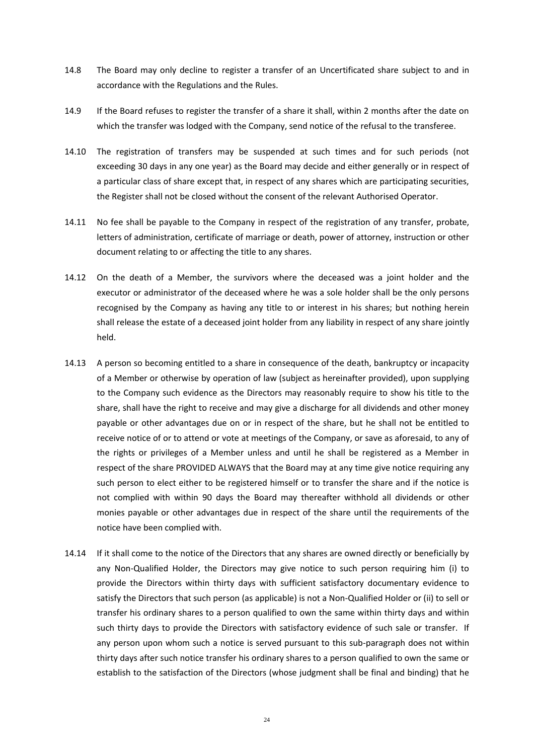- <span id="page-26-1"></span>14.8 The Board may only decline to register a transfer of an Uncertificated share subject to and in accordance with the Regulations and the Rules.
- 14.9 If the Board refuses to register the transfer of a share it shall, within 2 months after the date on which the transfer was lodged with the Company, send notice of the refusal to the transferee.
- 14.10 The registration of transfers may be suspended at such times and for such periods (not exceeding 30 days in any one year) as the Board may decide and either generally or in respect of a particular class of share except that, in respect of any shares which are participating securities, the Register shall not be closed without the consent of the relevant Authorised Operator.
- 14.11 No fee shall be payable to the Company in respect of the registration of any transfer, probate, letters of administration, certificate of marriage or death, power of attorney, instruction or other document relating to or affecting the title to any shares.
- 14.12 On the death of a Member, the survivors where the deceased was a joint holder and the executor or administrator of the deceased where he was a sole holder shall be the only persons recognised by the Company as having any title to or interest in his shares; but nothing herein shall release the estate of a deceased joint holder from any liability in respect of any share jointly held.
- 14.13 A person so becoming entitled to a share in consequence of the death, bankruptcy or incapacity of a Member or otherwise by operation of law (subject as hereinafter provided), upon supplying to the Company such evidence as the Directors may reasonably require to show his title to the share, shall have the right to receive and may give a discharge for all dividends and other money payable or other advantages due on or in respect of the share, but he shall not be entitled to receive notice of or to attend or vote at meetings of the Company, or save as aforesaid, to any of the rights or privileges of a Member unless and until he shall be registered as a Member in respect of the share PROVIDED ALWAYS that the Board may at any time give notice requiring any such person to elect either to be registered himself or to transfer the share and if the notice is not complied with within 90 days the Board may thereafter withhold all dividends or other monies payable or other advantages due in respect of the share until the requirements of the notice have been complied with.
- <span id="page-26-0"></span>14.14 If it shall come to the notice of the Directors that any shares are owned directly or beneficially by any Non-Qualified Holder, the Directors may give notice to such person requiring him (i) to provide the Directors within thirty days with sufficient satisfactory documentary evidence to satisfy the Directors that such person (as applicable) is not a Non-Qualified Holder or (ii) to sell or transfer his ordinary shares to a person qualified to own the same within thirty days and within such thirty days to provide the Directors with satisfactory evidence of such sale or transfer. If any person upon whom such a notice is served pursuant to this sub-paragraph does not within thirty days after such notice transfer his ordinary shares to a person qualified to own the same or establish to the satisfaction of the Directors (whose judgment shall be final and binding) that he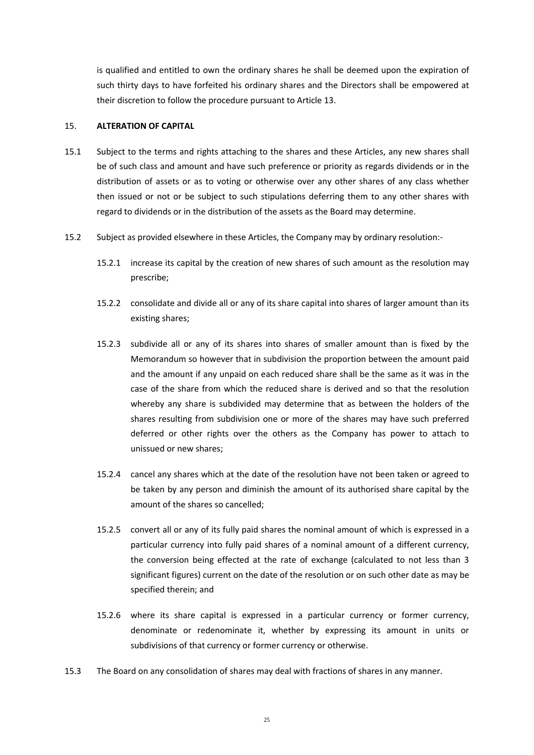is qualified and entitled to own the ordinary shares he shall be deemed upon the expiration of such thirty days to have forfeited his ordinary shares and the Directors shall be empowered at their discretion to follow the procedure pursuant to Articl[e 13.](#page-22-0)

#### 15. **ALTERATION OF CAPITAL**

- 15.1 Subject to the terms and rights attaching to the shares and these Articles, any new shares shall be of such class and amount and have such preference or priority as regards dividends or in the distribution of assets or as to voting or otherwise over any other shares of any class whether then issued or not or be subject to such stipulations deferring them to any other shares with regard to dividends or in the distribution of the assets as the Board may determine.
- 15.2 Subject as provided elsewhere in these Articles, the Company may by ordinary resolution:-
	- 15.2.1 increase its capital by the creation of new shares of such amount as the resolution may prescribe;
	- 15.2.2 consolidate and divide all or any of its share capital into shares of larger amount than its existing shares;
	- 15.2.3 subdivide all or any of its shares into shares of smaller amount than is fixed by the Memorandum so however that in subdivision the proportion between the amount paid and the amount if any unpaid on each reduced share shall be the same as it was in the case of the share from which the reduced share is derived and so that the resolution whereby any share is subdivided may determine that as between the holders of the shares resulting from subdivision one or more of the shares may have such preferred deferred or other rights over the others as the Company has power to attach to unissued or new shares;
	- 15.2.4 cancel any shares which at the date of the resolution have not been taken or agreed to be taken by any person and diminish the amount of its authorised share capital by the amount of the shares so cancelled;
	- 15.2.5 convert all or any of its fully paid shares the nominal amount of which is expressed in a particular currency into fully paid shares of a nominal amount of a different currency, the conversion being effected at the rate of exchange (calculated to not less than 3 significant figures) current on the date of the resolution or on such other date as may be specified therein; and
	- 15.2.6 where its share capital is expressed in a particular currency or former currency, denominate or redenominate it, whether by expressing its amount in units or subdivisions of that currency or former currency or otherwise.
- 15.3 The Board on any consolidation of shares may deal with fractions of shares in any manner.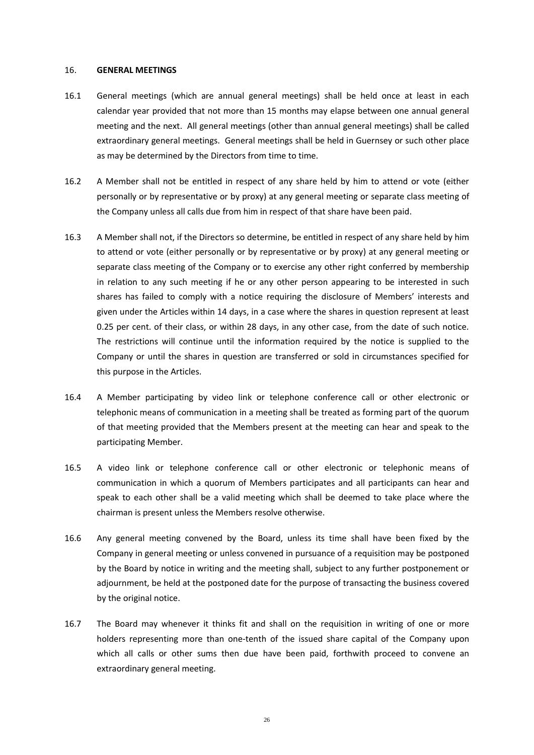#### 16. **GENERAL MEETINGS**

- 16.1 General meetings (which are annual general meetings) shall be held once at least in each calendar year provided that not more than 15 months may elapse between one annual general meeting and the next. All general meetings (other than annual general meetings) shall be called extraordinary general meetings. General meetings shall be held in Guernsey or such other place as may be determined by the Directors from time to time.
- 16.2 A Member shall not be entitled in respect of any share held by him to attend or vote (either personally or by representative or by proxy) at any general meeting or separate class meeting of the Company unless all calls due from him in respect of that share have been paid.
- 16.3 A Member shall not, if the Directors so determine, be entitled in respect of any share held by him to attend or vote (either personally or by representative or by proxy) at any general meeting or separate class meeting of the Company or to exercise any other right conferred by membership in relation to any such meeting if he or any other person appearing to be interested in such shares has failed to comply with a notice requiring the disclosure of Members' interests and given under the Articles within 14 days, in a case where the shares in question represent at least 0.25 per cent. of their class, or within 28 days, in any other case, from the date of such notice. The restrictions will continue until the information required by the notice is supplied to the Company or until the shares in question are transferred or sold in circumstances specified for this purpose in the Articles.
- 16.4 A Member participating by video link or telephone conference call or other electronic or telephonic means of communication in a meeting shall be treated as forming part of the quorum of that meeting provided that the Members present at the meeting can hear and speak to the participating Member.
- 16.5 A video link or telephone conference call or other electronic or telephonic means of communication in which a quorum of Members participates and all participants can hear and speak to each other shall be a valid meeting which shall be deemed to take place where the chairman is present unless the Members resolve otherwise.
- 16.6 Any general meeting convened by the Board, unless its time shall have been fixed by the Company in general meeting or unless convened in pursuance of a requisition may be postponed by the Board by notice in writing and the meeting shall, subject to any further postponement or adjournment, be held at the postponed date for the purpose of transacting the business covered by the original notice.
- 16.7 The Board may whenever it thinks fit and shall on the requisition in writing of one or more holders representing more than one-tenth of the issued share capital of the Company upon which all calls or other sums then due have been paid, forthwith proceed to convene an extraordinary general meeting.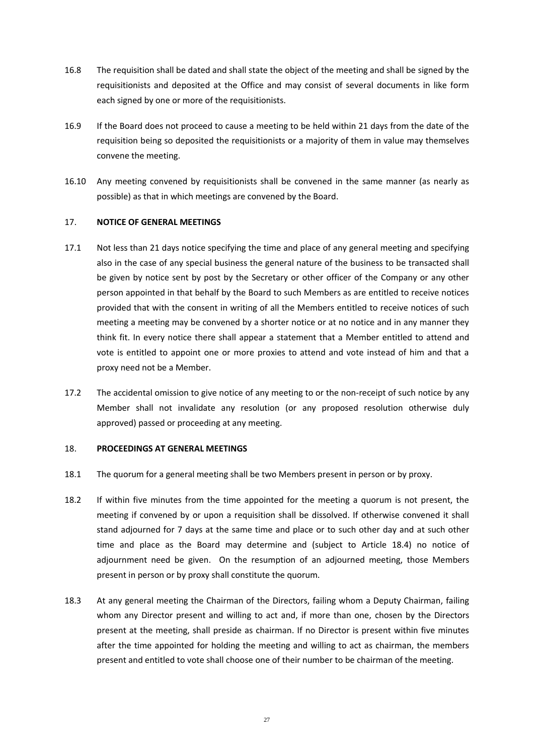- 16.8 The requisition shall be dated and shall state the object of the meeting and shall be signed by the requisitionists and deposited at the Office and may consist of several documents in like form each signed by one or more of the requisitionists.
- 16.9 If the Board does not proceed to cause a meeting to be held within 21 days from the date of the requisition being so deposited the requisitionists or a majority of them in value may themselves convene the meeting.
- 16.10 Any meeting convened by requisitionists shall be convened in the same manner (as nearly as possible) as that in which meetings are convened by the Board.

### 17. **NOTICE OF GENERAL MEETINGS**

- 17.1 Not less than 21 days notice specifying the time and place of any general meeting and specifying also in the case of any special business the general nature of the business to be transacted shall be given by notice sent by post by the Secretary or other officer of the Company or any other person appointed in that behalf by the Board to such Members as are entitled to receive notices provided that with the consent in writing of all the Members entitled to receive notices of such meeting a meeting may be convened by a shorter notice or at no notice and in any manner they think fit. In every notice there shall appear a statement that a Member entitled to attend and vote is entitled to appoint one or more proxies to attend and vote instead of him and that a proxy need not be a Member.
- 17.2 The accidental omission to give notice of any meeting to or the non-receipt of such notice by any Member shall not invalidate any resolution (or any proposed resolution otherwise duly approved) passed or proceeding at any meeting.

#### 18. **PROCEEDINGS AT GENERAL MEETINGS**

- 18.1 The quorum for a general meeting shall be two Members present in person or by proxy.
- 18.2 If within five minutes from the time appointed for the meeting a quorum is not present, the meeting if convened by or upon a requisition shall be dissolved. If otherwise convened it shall stand adjourned for 7 days at the same time and place or to such other day and at such other time and place as the Board may determine and (subject to Article [18.4\)](#page-30-0) no notice of adjournment need be given. On the resumption of an adjourned meeting, those Members present in person or by proxy shall constitute the quorum.
- 18.3 At any general meeting the Chairman of the Directors, failing whom a Deputy Chairman, failing whom any Director present and willing to act and, if more than one, chosen by the Directors present at the meeting, shall preside as chairman. If no Director is present within five minutes after the time appointed for holding the meeting and willing to act as chairman, the members present and entitled to vote shall choose one of their number to be chairman of the meeting.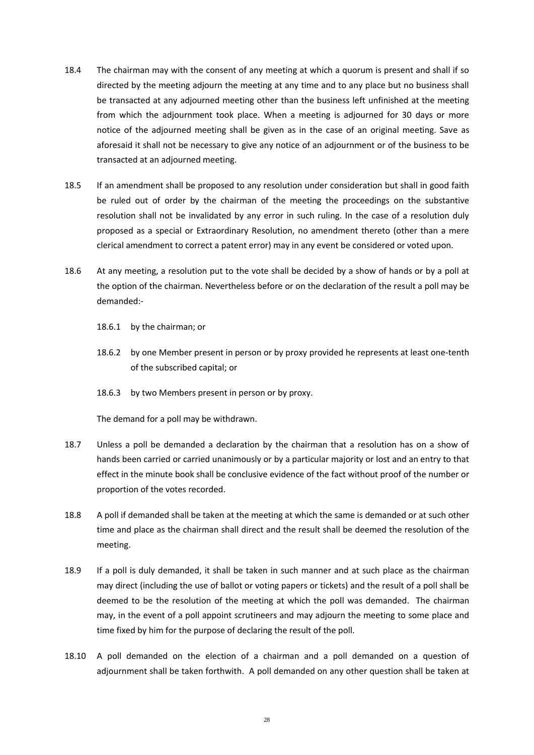- <span id="page-30-0"></span>18.4 The chairman may with the consent of any meeting at which a quorum is present and shall if so directed by the meeting adjourn the meeting at any time and to any place but no business shall be transacted at any adjourned meeting other than the business left unfinished at the meeting from which the adjournment took place. When a meeting is adjourned for 30 days or more notice of the adjourned meeting shall be given as in the case of an original meeting. Save as aforesaid it shall not be necessary to give any notice of an adjournment or of the business to be transacted at an adjourned meeting.
- 18.5 If an amendment shall be proposed to any resolution under consideration but shall in good faith be ruled out of order by the chairman of the meeting the proceedings on the substantive resolution shall not be invalidated by any error in such ruling. In the case of a resolution duly proposed as a special or Extraordinary Resolution, no amendment thereto (other than a mere clerical amendment to correct a patent error) may in any event be considered or voted upon.
- 18.6 At any meeting, a resolution put to the vote shall be decided by a show of hands or by a poll at the option of the chairman. Nevertheless before or on the declaration of the result a poll may be demanded:-
	- 18.6.1 by the chairman; or
	- 18.6.2 by one Member present in person or by proxy provided he represents at least one-tenth of the subscribed capital; or
	- 18.6.3 by two Members present in person or by proxy.

The demand for a poll may be withdrawn.

- 18.7 Unless a poll be demanded a declaration by the chairman that a resolution has on a show of hands been carried or carried unanimously or by a particular majority or lost and an entry to that effect in the minute book shall be conclusive evidence of the fact without proof of the number or proportion of the votes recorded.
- 18.8 A poll if demanded shall be taken at the meeting at which the same is demanded or at such other time and place as the chairman shall direct and the result shall be deemed the resolution of the meeting.
- 18.9 If a poll is duly demanded, it shall be taken in such manner and at such place as the chairman may direct (including the use of ballot or voting papers or tickets) and the result of a poll shall be deemed to be the resolution of the meeting at which the poll was demanded. The chairman may, in the event of a poll appoint scrutineers and may adjourn the meeting to some place and time fixed by him for the purpose of declaring the result of the poll.
- 18.10 A poll demanded on the election of a chairman and a poll demanded on a question of adjournment shall be taken forthwith. A poll demanded on any other question shall be taken at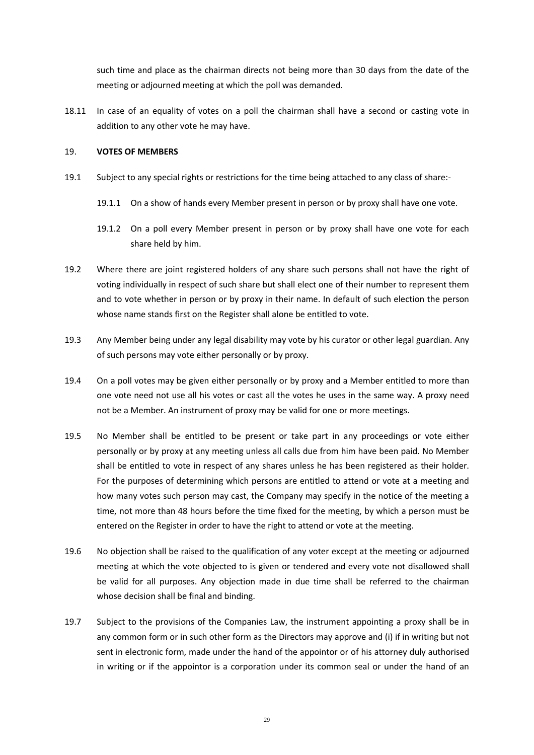such time and place as the chairman directs not being more than 30 days from the date of the meeting or adjourned meeting at which the poll was demanded.

18.11 In case of an equality of votes on a poll the chairman shall have a second or casting vote in addition to any other vote he may have.

### <span id="page-31-0"></span>19. **VOTES OF MEMBERS**

- 19.1 Subject to any special rights or restrictions for the time being attached to any class of share:-
	- 19.1.1 On a show of hands every Member present in person or by proxy shall have one vote.
	- 19.1.2 On a poll every Member present in person or by proxy shall have one vote for each share held by him.
- 19.2 Where there are joint registered holders of any share such persons shall not have the right of voting individually in respect of such share but shall elect one of their number to represent them and to vote whether in person or by proxy in their name. In default of such election the person whose name stands first on the Register shall alone be entitled to vote.
- 19.3 Any Member being under any legal disability may vote by his curator or other legal guardian. Any of such persons may vote either personally or by proxy.
- 19.4 On a poll votes may be given either personally or by proxy and a Member entitled to more than one vote need not use all his votes or cast all the votes he uses in the same way. A proxy need not be a Member. An instrument of proxy may be valid for one or more meetings.
- 19.5 No Member shall be entitled to be present or take part in any proceedings or vote either personally or by proxy at any meeting unless all calls due from him have been paid. No Member shall be entitled to vote in respect of any shares unless he has been registered as their holder. For the purposes of determining which persons are entitled to attend or vote at a meeting and how many votes such person may cast, the Company may specify in the notice of the meeting a time, not more than 48 hours before the time fixed for the meeting, by which a person must be entered on the Register in order to have the right to attend or vote at the meeting.
- 19.6 No objection shall be raised to the qualification of any voter except at the meeting or adjourned meeting at which the vote objected to is given or tendered and every vote not disallowed shall be valid for all purposes. Any objection made in due time shall be referred to the chairman whose decision shall be final and binding.
- 19.7 Subject to the provisions of the Companies Law, the instrument appointing a proxy shall be in any common form or in such other form as the Directors may approve and (i) if in writing but not sent in electronic form, made under the hand of the appointor or of his attorney duly authorised in writing or if the appointor is a corporation under its common seal or under the hand of an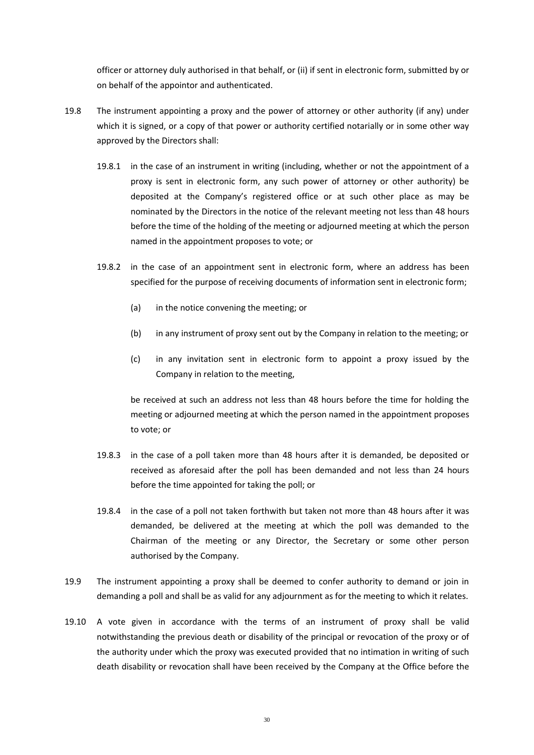officer or attorney duly authorised in that behalf, or (ii) if sent in electronic form, submitted by or on behalf of the appointor and authenticated.

- 19.8 The instrument appointing a proxy and the power of attorney or other authority (if any) under which it is signed, or a copy of that power or authority certified notarially or in some other way approved by the Directors shall:
	- 19.8.1 in the case of an instrument in writing (including, whether or not the appointment of a proxy is sent in electronic form, any such power of attorney or other authority) be deposited at the Company's registered office or at such other place as may be nominated by the Directors in the notice of the relevant meeting not less than 48 hours before the time of the holding of the meeting or adjourned meeting at which the person named in the appointment proposes to vote; or
	- 19.8.2 in the case of an appointment sent in electronic form, where an address has been specified for the purpose of receiving documents of information sent in electronic form;
		- (a) in the notice convening the meeting; or
		- (b) in any instrument of proxy sent out by the Company in relation to the meeting; or
		- (c) in any invitation sent in electronic form to appoint a proxy issued by the Company in relation to the meeting,

be received at such an address not less than 48 hours before the time for holding the meeting or adjourned meeting at which the person named in the appointment proposes to vote; or

- 19.8.3 in the case of a poll taken more than 48 hours after it is demanded, be deposited or received as aforesaid after the poll has been demanded and not less than 24 hours before the time appointed for taking the poll; or
- 19.8.4 in the case of a poll not taken forthwith but taken not more than 48 hours after it was demanded, be delivered at the meeting at which the poll was demanded to the Chairman of the meeting or any Director, the Secretary or some other person authorised by the Company.
- 19.9 The instrument appointing a proxy shall be deemed to confer authority to demand or join in demanding a poll and shall be as valid for any adjournment as for the meeting to which it relates.
- 19.10 A vote given in accordance with the terms of an instrument of proxy shall be valid notwithstanding the previous death or disability of the principal or revocation of the proxy or of the authority under which the proxy was executed provided that no intimation in writing of such death disability or revocation shall have been received by the Company at the Office before the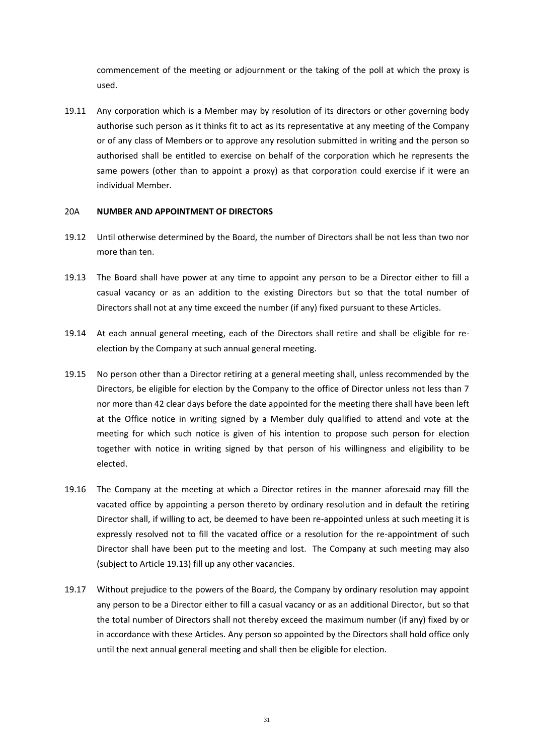commencement of the meeting or adjournment or the taking of the poll at which the proxy is used.

19.11 Any corporation which is a Member may by resolution of its directors or other governing body authorise such person as it thinks fit to act as its representative at any meeting of the Company or of any class of Members or to approve any resolution submitted in writing and the person so authorised shall be entitled to exercise on behalf of the corporation which he represents the same powers (other than to appoint a proxy) as that corporation could exercise if it were an individual Member.

#### 20A **NUMBER AND APPOINTMENT OF DIRECTORS**

- 19.12 Until otherwise determined by the Board, the number of Directors shall be not less than two nor more than ten.
- <span id="page-33-0"></span>19.13 The Board shall have power at any time to appoint any person to be a Director either to fill a casual vacancy or as an addition to the existing Directors but so that the total number of Directors shall not at any time exceed the number (if any) fixed pursuant to these Articles.
- 19.14 At each annual general meeting, each of the Directors shall retire and shall be eligible for reelection by the Company at such annual general meeting.
- 19.15 No person other than a Director retiring at a general meeting shall, unless recommended by the Directors, be eligible for election by the Company to the office of Director unless not less than 7 nor more than 42 clear days before the date appointed for the meeting there shall have been left at the Office notice in writing signed by a Member duly qualified to attend and vote at the meeting for which such notice is given of his intention to propose such person for election together with notice in writing signed by that person of his willingness and eligibility to be elected.
- 19.16 The Company at the meeting at which a Director retires in the manner aforesaid may fill the vacated office by appointing a person thereto by ordinary resolution and in default the retiring Director shall, if willing to act, be deemed to have been re-appointed unless at such meeting it is expressly resolved not to fill the vacated office or a resolution for the re-appointment of such Director shall have been put to the meeting and lost. The Company at such meeting may also (subject to Article [19.13\)](#page-33-0) fill up any other vacancies.
- 19.17 Without prejudice to the powers of the Board, the Company by ordinary resolution may appoint any person to be a Director either to fill a casual vacancy or as an additional Director, but so that the total number of Directors shall not thereby exceed the maximum number (if any) fixed by or in accordance with these Articles. Any person so appointed by the Directors shall hold office only until the next annual general meeting and shall then be eligible for election.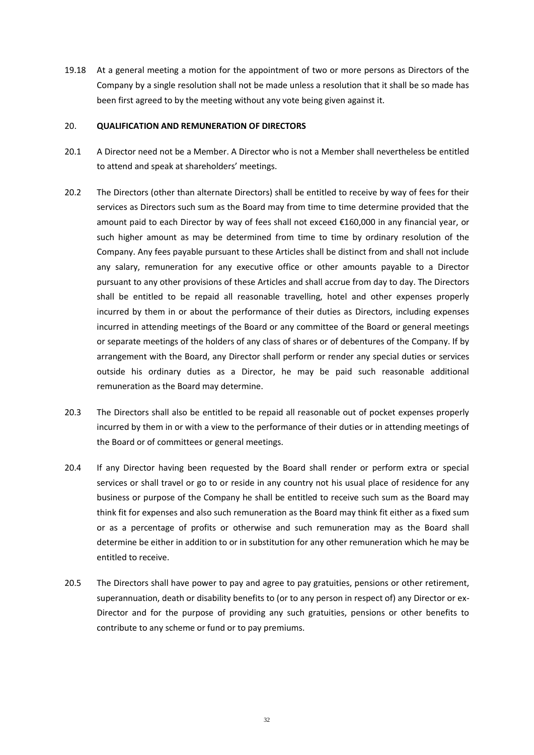19.18 At a general meeting a motion for the appointment of two or more persons as Directors of the Company by a single resolution shall not be made unless a resolution that it shall be so made has been first agreed to by the meeting without any vote being given against it.

#### 20. **QUALIFICATION AND REMUNERATION OF DIRECTORS**

- 20.1 A Director need not be a Member. A Director who is not a Member shall nevertheless be entitled to attend and speak at shareholders' meetings.
- 20.2 The Directors (other than alternate Directors) shall be entitled to receive by way of fees for their services as Directors such sum as the Board may from time to time determine provided that the amount paid to each Director by way of fees shall not exceed €160,000 in any financial year, or such higher amount as may be determined from time to time by ordinary resolution of the Company. Any fees payable pursuant to these Articles shall be distinct from and shall not include any salary, remuneration for any executive office or other amounts payable to a Director pursuant to any other provisions of these Articles and shall accrue from day to day. The Directors shall be entitled to be repaid all reasonable travelling, hotel and other expenses properly incurred by them in or about the performance of their duties as Directors, including expenses incurred in attending meetings of the Board or any committee of the Board or general meetings or separate meetings of the holders of any class of shares or of debentures of the Company. If by arrangement with the Board, any Director shall perform or render any special duties or services outside his ordinary duties as a Director, he may be paid such reasonable additional remuneration as the Board may determine.
- 20.3 The Directors shall also be entitled to be repaid all reasonable out of pocket expenses properly incurred by them in or with a view to the performance of their duties or in attending meetings of the Board or of committees or general meetings.
- 20.4 If any Director having been requested by the Board shall render or perform extra or special services or shall travel or go to or reside in any country not his usual place of residence for any business or purpose of the Company he shall be entitled to receive such sum as the Board may think fit for expenses and also such remuneration as the Board may think fit either as a fixed sum or as a percentage of profits or otherwise and such remuneration may as the Board shall determine be either in addition to or in substitution for any other remuneration which he may be entitled to receive.
- 20.5 The Directors shall have power to pay and agree to pay gratuities, pensions or other retirement, superannuation, death or disability benefits to (or to any person in respect of) any Director or ex-Director and for the purpose of providing any such gratuities, pensions or other benefits to contribute to any scheme or fund or to pay premiums.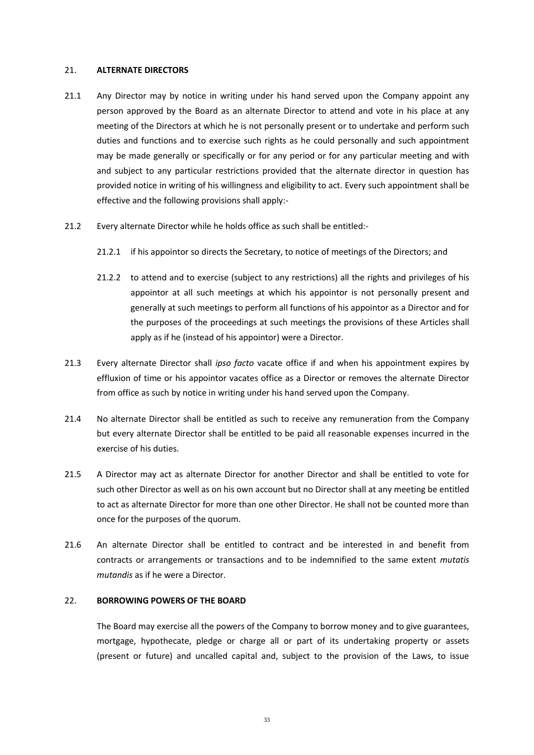#### 21. **ALTERNATE DIRECTORS**

- 21.1 Any Director may by notice in writing under his hand served upon the Company appoint any person approved by the Board as an alternate Director to attend and vote in his place at any meeting of the Directors at which he is not personally present or to undertake and perform such duties and functions and to exercise such rights as he could personally and such appointment may be made generally or specifically or for any period or for any particular meeting and with and subject to any particular restrictions provided that the alternate director in question has provided notice in writing of his willingness and eligibility to act. Every such appointment shall be effective and the following provisions shall apply:-
- 21.2 Every alternate Director while he holds office as such shall be entitled:-
	- 21.2.1 if his appointor so directs the Secretary, to notice of meetings of the Directors; and
	- 21.2.2 to attend and to exercise (subject to any restrictions) all the rights and privileges of his appointor at all such meetings at which his appointor is not personally present and generally at such meetings to perform all functions of his appointor as a Director and for the purposes of the proceedings at such meetings the provisions of these Articles shall apply as if he (instead of his appointor) were a Director.
- 21.3 Every alternate Director shall *ipso facto* vacate office if and when his appointment expires by effluxion of time or his appointor vacates office as a Director or removes the alternate Director from office as such by notice in writing under his hand served upon the Company.
- 21.4 No alternate Director shall be entitled as such to receive any remuneration from the Company but every alternate Director shall be entitled to be paid all reasonable expenses incurred in the exercise of his duties.
- 21.5 A Director may act as alternate Director for another Director and shall be entitled to vote for such other Director as well as on his own account but no Director shall at any meeting be entitled to act as alternate Director for more than one other Director. He shall not be counted more than once for the purposes of the quorum.
- 21.6 An alternate Director shall be entitled to contract and be interested in and benefit from contracts or arrangements or transactions and to be indemnified to the same extent *mutatis mutandis* as if he were a Director.

#### 22. **BORROWING POWERS OF THE BOARD**

The Board may exercise all the powers of the Company to borrow money and to give guarantees, mortgage, hypothecate, pledge or charge all or part of its undertaking property or assets (present or future) and uncalled capital and, subject to the provision of the Laws, to issue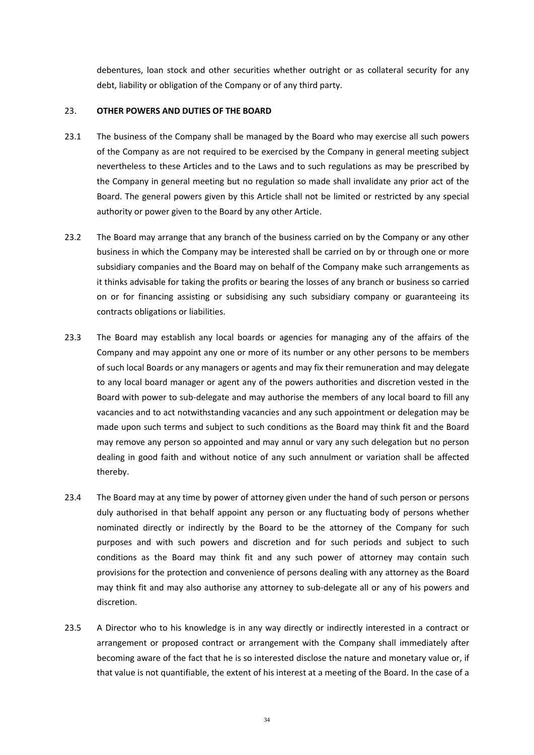debentures, loan stock and other securities whether outright or as collateral security for any debt, liability or obligation of the Company or of any third party.

#### 23. **OTHER POWERS AND DUTIES OF THE BOARD**

- 23.1 The business of the Company shall be managed by the Board who may exercise all such powers of the Company as are not required to be exercised by the Company in general meeting subject nevertheless to these Articles and to the Laws and to such regulations as may be prescribed by the Company in general meeting but no regulation so made shall invalidate any prior act of the Board. The general powers given by this Article shall not be limited or restricted by any special authority or power given to the Board by any other Article.
- 23.2 The Board may arrange that any branch of the business carried on by the Company or any other business in which the Company may be interested shall be carried on by or through one or more subsidiary companies and the Board may on behalf of the Company make such arrangements as it thinks advisable for taking the profits or bearing the losses of any branch or business so carried on or for financing assisting or subsidising any such subsidiary company or guaranteeing its contracts obligations or liabilities.
- 23.3 The Board may establish any local boards or agencies for managing any of the affairs of the Company and may appoint any one or more of its number or any other persons to be members of such local Boards or any managers or agents and may fix their remuneration and may delegate to any local board manager or agent any of the powers authorities and discretion vested in the Board with power to sub-delegate and may authorise the members of any local board to fill any vacancies and to act notwithstanding vacancies and any such appointment or delegation may be made upon such terms and subject to such conditions as the Board may think fit and the Board may remove any person so appointed and may annul or vary any such delegation but no person dealing in good faith and without notice of any such annulment or variation shall be affected thereby.
- 23.4 The Board may at any time by power of attorney given under the hand of such person or persons duly authorised in that behalf appoint any person or any fluctuating body of persons whether nominated directly or indirectly by the Board to be the attorney of the Company for such purposes and with such powers and discretion and for such periods and subject to such conditions as the Board may think fit and any such power of attorney may contain such provisions for the protection and convenience of persons dealing with any attorney as the Board may think fit and may also authorise any attorney to sub-delegate all or any of his powers and discretion.
- 23.5 A Director who to his knowledge is in any way directly or indirectly interested in a contract or arrangement or proposed contract or arrangement with the Company shall immediately after becoming aware of the fact that he is so interested disclose the nature and monetary value or, if that value is not quantifiable, the extent of his interest at a meeting of the Board. In the case of a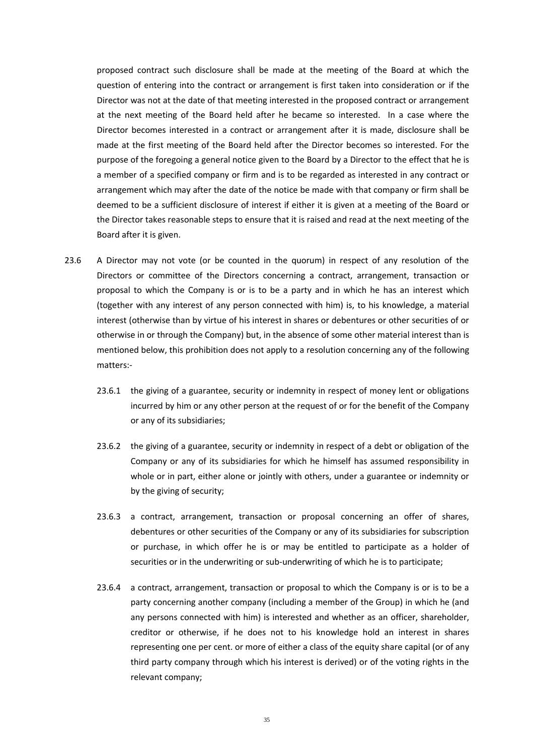proposed contract such disclosure shall be made at the meeting of the Board at which the question of entering into the contract or arrangement is first taken into consideration or if the Director was not at the date of that meeting interested in the proposed contract or arrangement at the next meeting of the Board held after he became so interested. In a case where the Director becomes interested in a contract or arrangement after it is made, disclosure shall be made at the first meeting of the Board held after the Director becomes so interested. For the purpose of the foregoing a general notice given to the Board by a Director to the effect that he is a member of a specified company or firm and is to be regarded as interested in any contract or arrangement which may after the date of the notice be made with that company or firm shall be deemed to be a sufficient disclosure of interest if either it is given at a meeting of the Board or the Director takes reasonable steps to ensure that it is raised and read at the next meeting of the Board after it is given.

- 23.6 A Director may not vote (or be counted in the quorum) in respect of any resolution of the Directors or committee of the Directors concerning a contract, arrangement, transaction or proposal to which the Company is or is to be a party and in which he has an interest which (together with any interest of any person connected with him) is, to his knowledge, a material interest (otherwise than by virtue of his interest in shares or debentures or other securities of or otherwise in or through the Company) but, in the absence of some other material interest than is mentioned below, this prohibition does not apply to a resolution concerning any of the following matters:-
	- 23.6.1 the giving of a guarantee, security or indemnity in respect of money lent or obligations incurred by him or any other person at the request of or for the benefit of the Company or any of its subsidiaries;
	- 23.6.2 the giving of a guarantee, security or indemnity in respect of a debt or obligation of the Company or any of its subsidiaries for which he himself has assumed responsibility in whole or in part, either alone or jointly with others, under a guarantee or indemnity or by the giving of security;
	- 23.6.3 a contract, arrangement, transaction or proposal concerning an offer of shares, debentures or other securities of the Company or any of its subsidiaries for subscription or purchase, in which offer he is or may be entitled to participate as a holder of securities or in the underwriting or sub-underwriting of which he is to participate;
	- 23.6.4 a contract, arrangement, transaction or proposal to which the Company is or is to be a party concerning another company (including a member of the Group) in which he (and any persons connected with him) is interested and whether as an officer, shareholder, creditor or otherwise, if he does not to his knowledge hold an interest in shares representing one per cent. or more of either a class of the equity share capital (or of any third party company through which his interest is derived) or of the voting rights in the relevant company;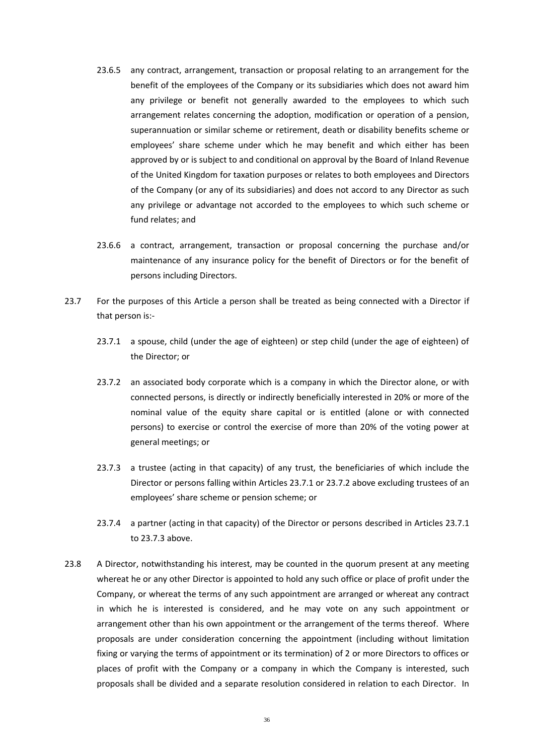- 23.6.5 any contract, arrangement, transaction or proposal relating to an arrangement for the benefit of the employees of the Company or its subsidiaries which does not award him any privilege or benefit not generally awarded to the employees to which such arrangement relates concerning the adoption, modification or operation of a pension, superannuation or similar scheme or retirement, death or disability benefits scheme or employees' share scheme under which he may benefit and which either has been approved by or is subject to and conditional on approval by the Board of Inland Revenue of the United Kingdom for taxation purposes or relates to both employees and Directors of the Company (or any of its subsidiaries) and does not accord to any Director as such any privilege or advantage not accorded to the employees to which such scheme or fund relates; and
- 23.6.6 a contract, arrangement, transaction or proposal concerning the purchase and/or maintenance of any insurance policy for the benefit of Directors or for the benefit of persons including Directors.
- <span id="page-38-2"></span><span id="page-38-1"></span><span id="page-38-0"></span>23.7 For the purposes of this Article a person shall be treated as being connected with a Director if that person is:-
	- 23.7.1 a spouse, child (under the age of eighteen) or step child (under the age of eighteen) of the Director; or
	- 23.7.2 an associated body corporate which is a company in which the Director alone, or with connected persons, is directly or indirectly beneficially interested in 20% or more of the nominal value of the equity share capital or is entitled (alone or with connected persons) to exercise or control the exercise of more than 20% of the voting power at general meetings; or
	- 23.7.3 a trustee (acting in that capacity) of any trust, the beneficiaries of which include the Director or persons falling within Articles [23.7.1](#page-38-1) o[r 23.7.2](#page-38-2) above excluding trustees of an employees' share scheme or pension scheme; or
	- 23.7.4 a partner (acting in that capacity) of the Director or persons described in Articles [23.7.1](#page-38-1) to [23.7.3](#page-38-3) above.
- <span id="page-38-3"></span>23.8 A Director, notwithstanding his interest, may be counted in the quorum present at any meeting whereat he or any other Director is appointed to hold any such office or place of profit under the Company, or whereat the terms of any such appointment are arranged or whereat any contract in which he is interested is considered, and he may vote on any such appointment or arrangement other than his own appointment or the arrangement of the terms thereof. Where proposals are under consideration concerning the appointment (including without limitation fixing or varying the terms of appointment or its termination) of 2 or more Directors to offices or places of profit with the Company or a company in which the Company is interested, such proposals shall be divided and a separate resolution considered in relation to each Director. In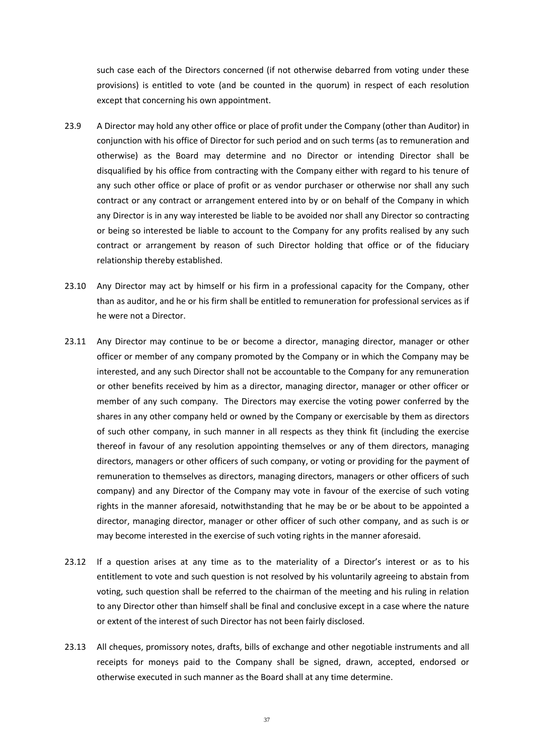such case each of the Directors concerned (if not otherwise debarred from voting under these provisions) is entitled to vote (and be counted in the quorum) in respect of each resolution except that concerning his own appointment.

- 23.9 A Director may hold any other office or place of profit under the Company (other than Auditor) in conjunction with his office of Director for such period and on such terms (as to remuneration and otherwise) as the Board may determine and no Director or intending Director shall be disqualified by his office from contracting with the Company either with regard to his tenure of any such other office or place of profit or as vendor purchaser or otherwise nor shall any such contract or any contract or arrangement entered into by or on behalf of the Company in which any Director is in any way interested be liable to be avoided nor shall any Director so contracting or being so interested be liable to account to the Company for any profits realised by any such contract or arrangement by reason of such Director holding that office or of the fiduciary relationship thereby established.
- 23.10 Any Director may act by himself or his firm in a professional capacity for the Company, other than as auditor, and he or his firm shall be entitled to remuneration for professional services as if he were not a Director.
- 23.11 Any Director may continue to be or become a director, managing director, manager or other officer or member of any company promoted by the Company or in which the Company may be interested, and any such Director shall not be accountable to the Company for any remuneration or other benefits received by him as a director, managing director, manager or other officer or member of any such company. The Directors may exercise the voting power conferred by the shares in any other company held or owned by the Company or exercisable by them as directors of such other company, in such manner in all respects as they think fit (including the exercise thereof in favour of any resolution appointing themselves or any of them directors, managing directors, managers or other officers of such company, or voting or providing for the payment of remuneration to themselves as directors, managing directors, managers or other officers of such company) and any Director of the Company may vote in favour of the exercise of such voting rights in the manner aforesaid, notwithstanding that he may be or be about to be appointed a director, managing director, manager or other officer of such other company, and as such is or may become interested in the exercise of such voting rights in the manner aforesaid.
- 23.12 If a question arises at any time as to the materiality of a Director's interest or as to his entitlement to vote and such question is not resolved by his voluntarily agreeing to abstain from voting, such question shall be referred to the chairman of the meeting and his ruling in relation to any Director other than himself shall be final and conclusive except in a case where the nature or extent of the interest of such Director has not been fairly disclosed.
- 23.13 All cheques, promissory notes, drafts, bills of exchange and other negotiable instruments and all receipts for moneys paid to the Company shall be signed, drawn, accepted, endorsed or otherwise executed in such manner as the Board shall at any time determine.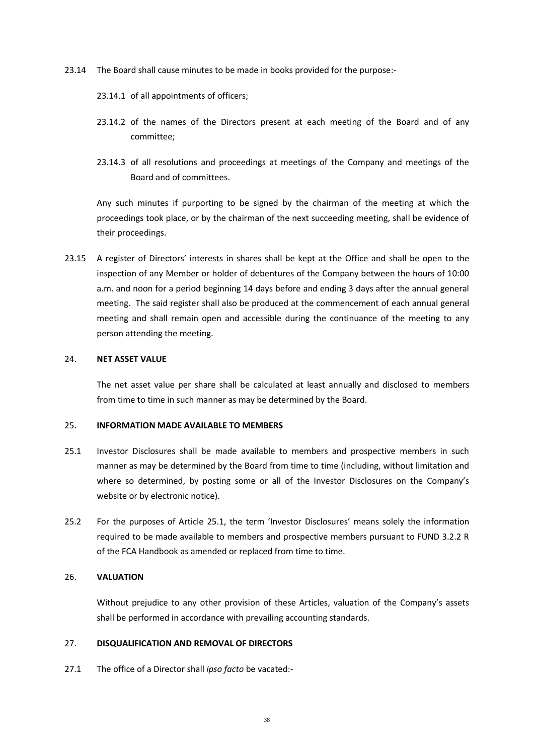- 23.14 The Board shall cause minutes to be made in books provided for the purpose:-
	- 23.14.1 of all appointments of officers;
	- 23.14.2 of the names of the Directors present at each meeting of the Board and of any committee;
	- 23.14.3 of all resolutions and proceedings at meetings of the Company and meetings of the Board and of committees.

Any such minutes if purporting to be signed by the chairman of the meeting at which the proceedings took place, or by the chairman of the next succeeding meeting, shall be evidence of their proceedings.

23.15 A register of Directors' interests in shares shall be kept at the Office and shall be open to the inspection of any Member or holder of debentures of the Company between the hours of 10:00 a.m. and noon for a period beginning 14 days before and ending 3 days after the annual general meeting. The said register shall also be produced at the commencement of each annual general meeting and shall remain open and accessible during the continuance of the meeting to any person attending the meeting.

### 24. **NET ASSET VALUE**

The net asset value per share shall be calculated at least annually and disclosed to members from time to time in such manner as may be determined by the Board.

#### 25. **INFORMATION MADE AVAILABLE TO MEMBERS**

- <span id="page-40-0"></span>25.1 Investor Disclosures shall be made available to members and prospective members in such manner as may be determined by the Board from time to time (including, without limitation and where so determined, by posting some or all of the Investor Disclosures on the Company's website or by electronic notice).
- 25.2 For the purposes of Article [25.1](#page-40-0), the term 'Investor Disclosures' means solely the information required to be made available to members and prospective members pursuant to FUND 3.2.2 R of the FCA Handbook as amended or replaced from time to time.

### 26. **VALUATION**

Without prejudice to any other provision of these Articles, valuation of the Company's assets shall be performed in accordance with prevailing accounting standards.

# 27. **DISQUALIFICATION AND REMOVAL OF DIRECTORS**

27.1 The office of a Director shall *ipso facto* be vacated:-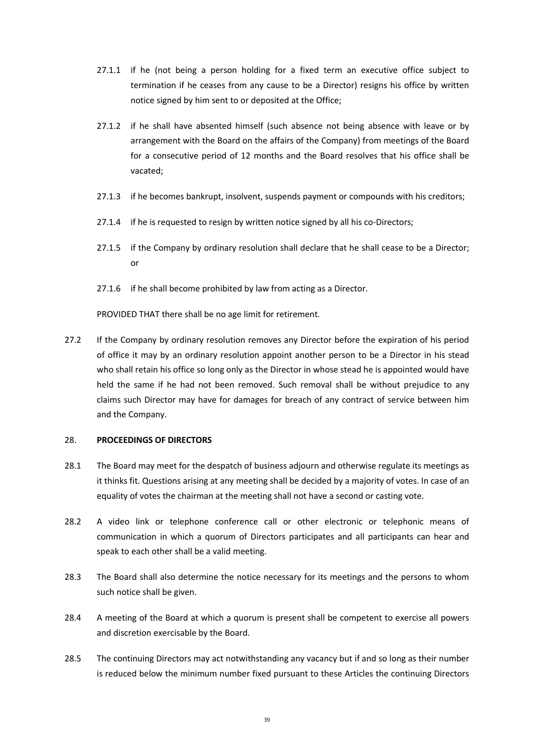- 27.1.1 if he (not being a person holding for a fixed term an executive office subject to termination if he ceases from any cause to be a Director) resigns his office by written notice signed by him sent to or deposited at the Office;
- 27.1.2 if he shall have absented himself (such absence not being absence with leave or by arrangement with the Board on the affairs of the Company) from meetings of the Board for a consecutive period of 12 months and the Board resolves that his office shall be vacated;
- 27.1.3 if he becomes bankrupt, insolvent, suspends payment or compounds with his creditors;
- 27.1.4 if he is requested to resign by written notice signed by all his co-Directors;
- 27.1.5 if the Company by ordinary resolution shall declare that he shall cease to be a Director; or
- 27.1.6 if he shall become prohibited by law from acting as a Director.

PROVIDED THAT there shall be no age limit for retirement.

27.2 If the Company by ordinary resolution removes any Director before the expiration of his period of office it may by an ordinary resolution appoint another person to be a Director in his stead who shall retain his office so long only as the Director in whose stead he is appointed would have held the same if he had not been removed. Such removal shall be without prejudice to any claims such Director may have for damages for breach of any contract of service between him and the Company.

### 28. **PROCEEDINGS OF DIRECTORS**

- 28.1 The Board may meet for the despatch of business adjourn and otherwise regulate its meetings as it thinks fit. Questions arising at any meeting shall be decided by a majority of votes. In case of an equality of votes the chairman at the meeting shall not have a second or casting vote.
- 28.2 A video link or telephone conference call or other electronic or telephonic means of communication in which a quorum of Directors participates and all participants can hear and speak to each other shall be a valid meeting.
- 28.3 The Board shall also determine the notice necessary for its meetings and the persons to whom such notice shall be given.
- 28.4 A meeting of the Board at which a quorum is present shall be competent to exercise all powers and discretion exercisable by the Board.
- 28.5 The continuing Directors may act notwithstanding any vacancy but if and so long as their number is reduced below the minimum number fixed pursuant to these Articles the continuing Directors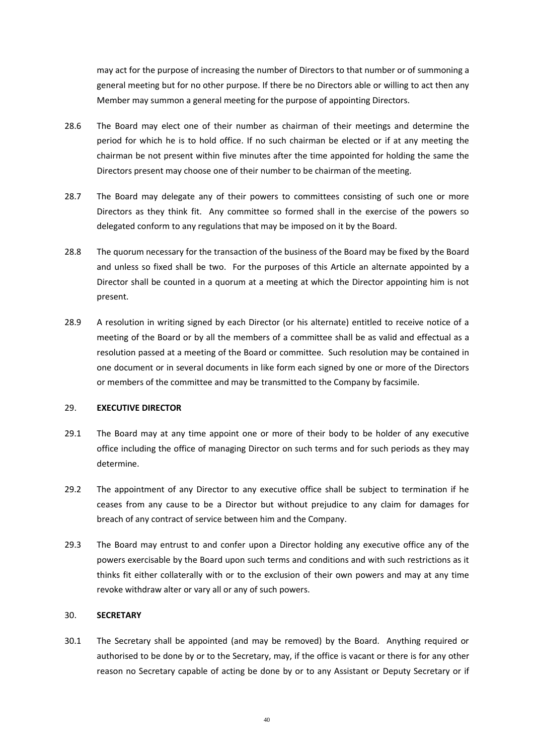may act for the purpose of increasing the number of Directors to that number or of summoning a general meeting but for no other purpose. If there be no Directors able or willing to act then any Member may summon a general meeting for the purpose of appointing Directors.

- 28.6 The Board may elect one of their number as chairman of their meetings and determine the period for which he is to hold office. If no such chairman be elected or if at any meeting the chairman be not present within five minutes after the time appointed for holding the same the Directors present may choose one of their number to be chairman of the meeting.
- 28.7 The Board may delegate any of their powers to committees consisting of such one or more Directors as they think fit. Any committee so formed shall in the exercise of the powers so delegated conform to any regulations that may be imposed on it by the Board.
- 28.8 The quorum necessary for the transaction of the business of the Board may be fixed by the Board and unless so fixed shall be two. For the purposes of this Article an alternate appointed by a Director shall be counted in a quorum at a meeting at which the Director appointing him is not present.
- 28.9 A resolution in writing signed by each Director (or his alternate) entitled to receive notice of a meeting of the Board or by all the members of a committee shall be as valid and effectual as a resolution passed at a meeting of the Board or committee. Such resolution may be contained in one document or in several documents in like form each signed by one or more of the Directors or members of the committee and may be transmitted to the Company by facsimile.

#### 29. **EXECUTIVE DIRECTOR**

- 29.1 The Board may at any time appoint one or more of their body to be holder of any executive office including the office of managing Director on such terms and for such periods as they may determine.
- 29.2 The appointment of any Director to any executive office shall be subject to termination if he ceases from any cause to be a Director but without prejudice to any claim for damages for breach of any contract of service between him and the Company.
- 29.3 The Board may entrust to and confer upon a Director holding any executive office any of the powers exercisable by the Board upon such terms and conditions and with such restrictions as it thinks fit either collaterally with or to the exclusion of their own powers and may at any time revoke withdraw alter or vary all or any of such powers.

### 30. **SECRETARY**

30.1 The Secretary shall be appointed (and may be removed) by the Board. Anything required or authorised to be done by or to the Secretary, may, if the office is vacant or there is for any other reason no Secretary capable of acting be done by or to any Assistant or Deputy Secretary or if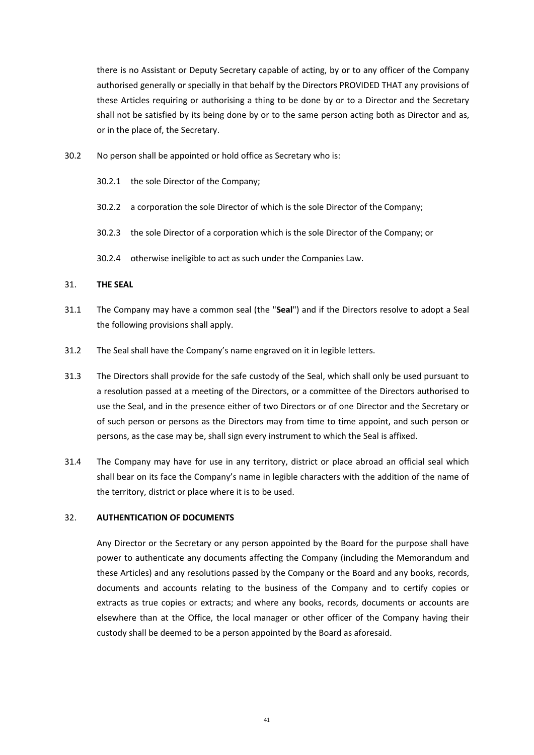there is no Assistant or Deputy Secretary capable of acting, by or to any officer of the Company authorised generally or specially in that behalf by the Directors PROVIDED THAT any provisions of these Articles requiring or authorising a thing to be done by or to a Director and the Secretary shall not be satisfied by its being done by or to the same person acting both as Director and as, or in the place of, the Secretary.

- 30.2 No person shall be appointed or hold office as Secretary who is:
	- 30.2.1 the sole Director of the Company;
	- 30.2.2 a corporation the sole Director of which is the sole Director of the Company;
	- 30.2.3 the sole Director of a corporation which is the sole Director of the Company; or
	- 30.2.4 otherwise ineligible to act as such under the Companies Law.

#### 31. **THE SEAL**

- 31.1 The Company may have a common seal (the "**Seal**") and if the Directors resolve to adopt a Seal the following provisions shall apply.
- 31.2 The Seal shall have the Company's name engraved on it in legible letters.
- 31.3 The Directors shall provide for the safe custody of the Seal, which shall only be used pursuant to a resolution passed at a meeting of the Directors, or a committee of the Directors authorised to use the Seal, and in the presence either of two Directors or of one Director and the Secretary or of such person or persons as the Directors may from time to time appoint, and such person or persons, as the case may be, shall sign every instrument to which the Seal is affixed.
- 31.4 The Company may have for use in any territory, district or place abroad an official seal which shall bear on its face the Company's name in legible characters with the addition of the name of the territory, district or place where it is to be used.

#### 32. **AUTHENTICATION OF DOCUMENTS**

Any Director or the Secretary or any person appointed by the Board for the purpose shall have power to authenticate any documents affecting the Company (including the Memorandum and these Articles) and any resolutions passed by the Company or the Board and any books, records, documents and accounts relating to the business of the Company and to certify copies or extracts as true copies or extracts; and where any books, records, documents or accounts are elsewhere than at the Office, the local manager or other officer of the Company having their custody shall be deemed to be a person appointed by the Board as aforesaid.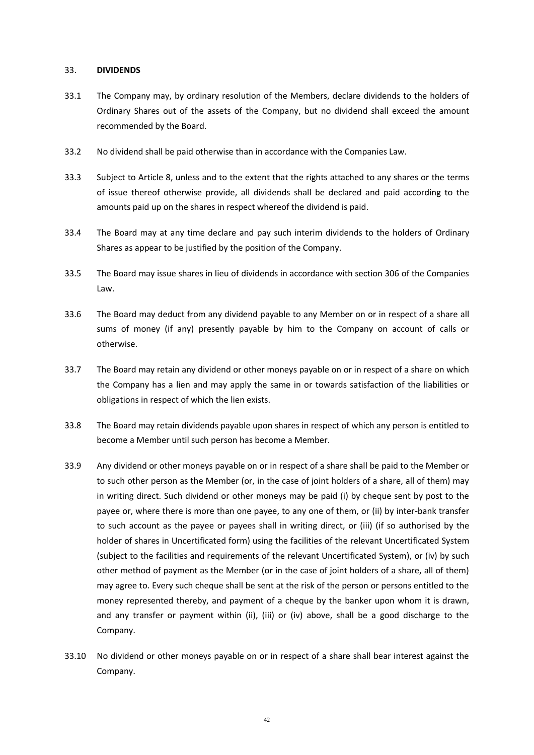#### 33. **DIVIDENDS**

- 33.1 The Company may, by ordinary resolution of the Members, declare dividends to the holders of Ordinary Shares out of the assets of the Company, but no dividend shall exceed the amount recommended by the Board.
- 33.2 No dividend shall be paid otherwise than in accordance with the Companies Law.
- 33.3 Subject to Article 8, unless and to the extent that the rights attached to any shares or the terms of issue thereof otherwise provide, all dividends shall be declared and paid according to the amounts paid up on the shares in respect whereof the dividend is paid.
- 33.4 The Board may at any time declare and pay such interim dividends to the holders of Ordinary Shares as appear to be justified by the position of the Company.
- 33.5 The Board may issue shares in lieu of dividends in accordance with section 306 of the Companies Law.
- 33.6 The Board may deduct from any dividend payable to any Member on or in respect of a share all sums of money (if any) presently payable by him to the Company on account of calls or otherwise.
- 33.7 The Board may retain any dividend or other moneys payable on or in respect of a share on which the Company has a lien and may apply the same in or towards satisfaction of the liabilities or obligations in respect of which the lien exists.
- 33.8 The Board may retain dividends payable upon shares in respect of which any person is entitled to become a Member until such person has become a Member.
- 33.9 Any dividend or other moneys payable on or in respect of a share shall be paid to the Member or to such other person as the Member (or, in the case of joint holders of a share, all of them) may in writing direct. Such dividend or other moneys may be paid (i) by cheque sent by post to the payee or, where there is more than one payee, to any one of them, or (ii) by inter-bank transfer to such account as the payee or payees shall in writing direct, or (iii) (if so authorised by the holder of shares in Uncertificated form) using the facilities of the relevant Uncertificated System (subject to the facilities and requirements of the relevant Uncertificated System), or (iv) by such other method of payment as the Member (or in the case of joint holders of a share, all of them) may agree to. Every such cheque shall be sent at the risk of the person or persons entitled to the money represented thereby, and payment of a cheque by the banker upon whom it is drawn, and any transfer or payment within (ii), (iii) or (iv) above, shall be a good discharge to the Company.
- 33.10 No dividend or other moneys payable on or in respect of a share shall bear interest against the Company.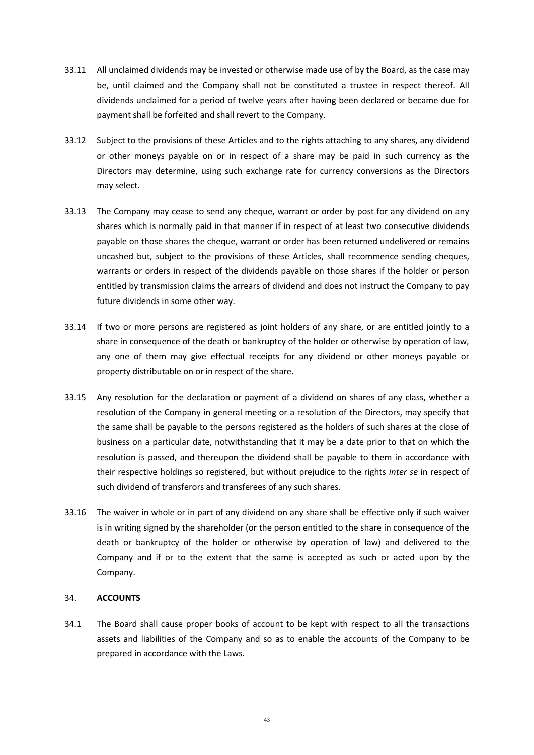- 33.11 All unclaimed dividends may be invested or otherwise made use of by the Board, as the case may be, until claimed and the Company shall not be constituted a trustee in respect thereof. All dividends unclaimed for a period of twelve years after having been declared or became due for payment shall be forfeited and shall revert to the Company.
- 33.12 Subject to the provisions of these Articles and to the rights attaching to any shares, any dividend or other moneys payable on or in respect of a share may be paid in such currency as the Directors may determine, using such exchange rate for currency conversions as the Directors may select.
- 33.13 The Company may cease to send any cheque, warrant or order by post for any dividend on any shares which is normally paid in that manner if in respect of at least two consecutive dividends payable on those shares the cheque, warrant or order has been returned undelivered or remains uncashed but, subject to the provisions of these Articles, shall recommence sending cheques, warrants or orders in respect of the dividends payable on those shares if the holder or person entitled by transmission claims the arrears of dividend and does not instruct the Company to pay future dividends in some other way.
- 33.14 If two or more persons are registered as joint holders of any share, or are entitled jointly to a share in consequence of the death or bankruptcy of the holder or otherwise by operation of law, any one of them may give effectual receipts for any dividend or other moneys payable or property distributable on or in respect of the share.
- 33.15 Any resolution for the declaration or payment of a dividend on shares of any class, whether a resolution of the Company in general meeting or a resolution of the Directors, may specify that the same shall be payable to the persons registered as the holders of such shares at the close of business on a particular date, notwithstanding that it may be a date prior to that on which the resolution is passed, and thereupon the dividend shall be payable to them in accordance with their respective holdings so registered, but without prejudice to the rights *inter se* in respect of such dividend of transferors and transferees of any such shares.
- 33.16 The waiver in whole or in part of any dividend on any share shall be effective only if such waiver is in writing signed by the shareholder (or the person entitled to the share in consequence of the death or bankruptcy of the holder or otherwise by operation of law) and delivered to the Company and if or to the extent that the same is accepted as such or acted upon by the Company.

### 34. **ACCOUNTS**

34.1 The Board shall cause proper books of account to be kept with respect to all the transactions assets and liabilities of the Company and so as to enable the accounts of the Company to be prepared in accordance with the Laws.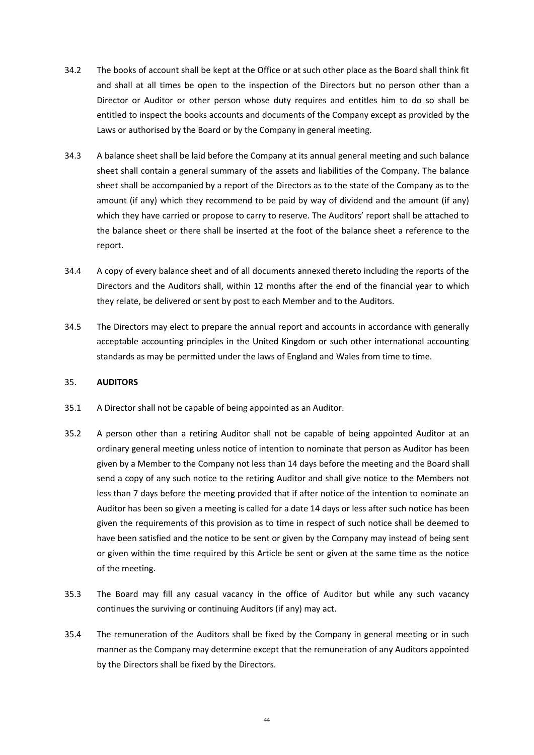- 34.2 The books of account shall be kept at the Office or at such other place as the Board shall think fit and shall at all times be open to the inspection of the Directors but no person other than a Director or Auditor or other person whose duty requires and entitles him to do so shall be entitled to inspect the books accounts and documents of the Company except as provided by the Laws or authorised by the Board or by the Company in general meeting.
- 34.3 A balance sheet shall be laid before the Company at its annual general meeting and such balance sheet shall contain a general summary of the assets and liabilities of the Company. The balance sheet shall be accompanied by a report of the Directors as to the state of the Company as to the amount (if any) which they recommend to be paid by way of dividend and the amount (if any) which they have carried or propose to carry to reserve. The Auditors' report shall be attached to the balance sheet or there shall be inserted at the foot of the balance sheet a reference to the report.
- 34.4 A copy of every balance sheet and of all documents annexed thereto including the reports of the Directors and the Auditors shall, within 12 months after the end of the financial year to which they relate, be delivered or sent by post to each Member and to the Auditors.
- 34.5 The Directors may elect to prepare the annual report and accounts in accordance with generally acceptable accounting principles in the United Kingdom or such other international accounting standards as may be permitted under the laws of England and Wales from time to time.

### 35. **AUDITORS**

- 35.1 A Director shall not be capable of being appointed as an Auditor.
- 35.2 A person other than a retiring Auditor shall not be capable of being appointed Auditor at an ordinary general meeting unless notice of intention to nominate that person as Auditor has been given by a Member to the Company not less than 14 days before the meeting and the Board shall send a copy of any such notice to the retiring Auditor and shall give notice to the Members not less than 7 days before the meeting provided that if after notice of the intention to nominate an Auditor has been so given a meeting is called for a date 14 days or less after such notice has been given the requirements of this provision as to time in respect of such notice shall be deemed to have been satisfied and the notice to be sent or given by the Company may instead of being sent or given within the time required by this Article be sent or given at the same time as the notice of the meeting.
- 35.3 The Board may fill any casual vacancy in the office of Auditor but while any such vacancy continues the surviving or continuing Auditors (if any) may act.
- 35.4 The remuneration of the Auditors shall be fixed by the Company in general meeting or in such manner as the Company may determine except that the remuneration of any Auditors appointed by the Directors shall be fixed by the Directors.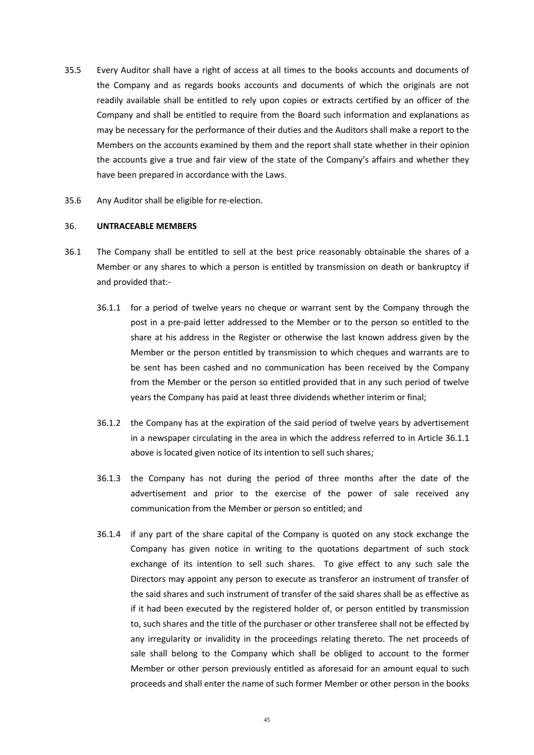- 35.5 Every Auditor shall have a right of access at all times to the books accounts and documents of the Company and as regards books accounts and documents of which the originals are not readily available shall be entitled to rely upon copies or extracts certified by an officer of the Company and shall be entitled to require from the Board such information and explanations as may be necessary for the performance of their duties and the Auditors shall make a report to the Members on the accounts examined by them and the report shall state whether in their opinion the accounts give a true and fair view of the state of the Company's affairs and whether they have been prepared in accordance with the Laws.
- 35.6 Any Auditor shall be eligible for re-election.

#### 36. **UNTRACEABLE MEMBERS**

- <span id="page-47-0"></span>36.1 The Company shall be entitled to sell at the best price reasonably obtainable the shares of a Member or any shares to which a person is entitled by transmission on death or bankruptcy if and provided that:-
	- 36.1.1 for a period of twelve years no cheque or warrant sent by the Company through the post in a pre-paid letter addressed to the Member or to the person so entitled to the share at his address in the Register or otherwise the last known address given by the Member or the person entitled by transmission to which cheques and warrants are to be sent has been cashed and no communication has been received by the Company from the Member or the person so entitled provided that in any such period of twelve years the Company has paid at least three dividends whether interim or final;
	- 36.1.2 the Company has at the expiration of the said period of twelve years by advertisement in a newspaper circulating in the area in which the address referred to in Article [36.1.1](#page-47-0) above is located given notice of its intention to sell such shares;
	- 36.1.3 the Company has not during the period of three months after the date of the advertisement and prior to the exercise of the power of sale received any communication from the Member or person so entitled; and
	- 36.1.4 if any part of the share capital of the Company is quoted on any stock exchange the Company has given notice in writing to the quotations department of such stock exchange of its intention to sell such shares. To give effect to any such sale the Directors may appoint any person to execute as transferor an instrument of transfer of the said shares and such instrument of transfer of the said shares shall be as effective as if it had been executed by the registered holder of, or person entitled by transmission to, such shares and the title of the purchaser or other transferee shall not be effected by any irregularity or invalidity in the proceedings relating thereto. The net proceeds of sale shall belong to the Company which shall be obliged to account to the former Member or other person previously entitled as aforesaid for an amount equal to such proceeds and shall enter the name of such former Member or other person in the books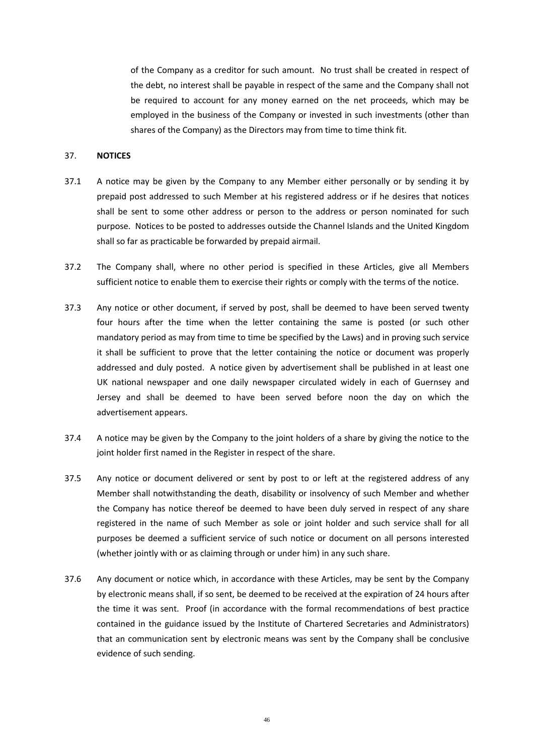of the Company as a creditor for such amount. No trust shall be created in respect of the debt, no interest shall be payable in respect of the same and the Company shall not be required to account for any money earned on the net proceeds, which may be employed in the business of the Company or invested in such investments (other than shares of the Company) as the Directors may from time to time think fit.

#### <span id="page-48-0"></span>37. **NOTICES**

- 37.1 A notice may be given by the Company to any Member either personally or by sending it by prepaid post addressed to such Member at his registered address or if he desires that notices shall be sent to some other address or person to the address or person nominated for such purpose. Notices to be posted to addresses outside the Channel Islands and the United Kingdom shall so far as practicable be forwarded by prepaid airmail.
- 37.2 The Company shall, where no other period is specified in these Articles, give all Members sufficient notice to enable them to exercise their rights or comply with the terms of the notice.
- 37.3 Any notice or other document, if served by post, shall be deemed to have been served twenty four hours after the time when the letter containing the same is posted (or such other mandatory period as may from time to time be specified by the Laws) and in proving such service it shall be sufficient to prove that the letter containing the notice or document was properly addressed and duly posted. A notice given by advertisement shall be published in at least one UK national newspaper and one daily newspaper circulated widely in each of Guernsey and Jersey and shall be deemed to have been served before noon the day on which the advertisement appears.
- 37.4 A notice may be given by the Company to the joint holders of a share by giving the notice to the joint holder first named in the Register in respect of the share.
- 37.5 Any notice or document delivered or sent by post to or left at the registered address of any Member shall notwithstanding the death, disability or insolvency of such Member and whether the Company has notice thereof be deemed to have been duly served in respect of any share registered in the name of such Member as sole or joint holder and such service shall for all purposes be deemed a sufficient service of such notice or document on all persons interested (whether jointly with or as claiming through or under him) in any such share.
- 37.6 Any document or notice which, in accordance with these Articles, may be sent by the Company by electronic means shall, if so sent, be deemed to be received at the expiration of 24 hours after the time it was sent. Proof (in accordance with the formal recommendations of best practice contained in the guidance issued by the Institute of Chartered Secretaries and Administrators) that an communication sent by electronic means was sent by the Company shall be conclusive evidence of such sending.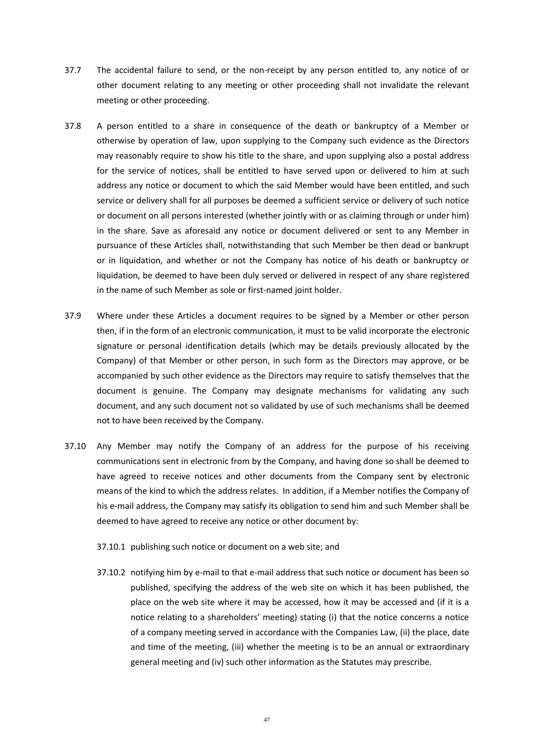- 37.7 The accidental failure to send, or the non-receipt by any person entitled to, any notice of or other document relating to any meeting or other proceeding shall not invalidate the relevant meeting or other proceeding.
- 37.8 A person entitled to a share in consequence of the death or bankruptcy of a Member or otherwise by operation of law, upon supplying to the Company such evidence as the Directors may reasonably require to show his title to the share, and upon supplying also a postal address for the service of notices, shall be entitled to have served upon or delivered to him at such address any notice or document to which the said Member would have been entitled, and such service or delivery shall for all purposes be deemed a sufficient service or delivery of such notice or document on all persons interested (whether jointly with or as claiming through or under him) in the share. Save as aforesaid any notice or document delivered or sent to any Member in pursuance of these Articles shall, notwithstanding that such Member be then dead or bankrupt or in liquidation, and whether or not the Company has notice of his death or bankruptcy or liquidation, be deemed to have been duly served or delivered in respect of any share registered in the name of such Member as sole or first-named joint holder.
- 37.9 Where under these Articles a document requires to be signed by a Member or other person then, if in the form of an electronic communication, it must to be valid incorporate the electronic signature or personal identification details (which may be details previously allocated by the Company) of that Member or other person, in such form as the Directors may approve, or be accompanied by such other evidence as the Directors may require to satisfy themselves that the document is genuine. The Company may designate mechanisms for validating any such document, and any such document not so validated by use of such mechanisms shall be deemed not to have been received by the Company.
- 37.10 Any Member may notify the Company of an address for the purpose of his receiving communications sent in electronic from by the Company, and having done so shall be deemed to have agreed to receive notices and other documents from the Company sent by electronic means of the kind to which the address relates. In addition, if a Member notifies the Company of his e-mail address, the Company may satisfy its obligation to send him and such Member shall be deemed to have agreed to receive any notice or other document by:
	- 37.10.1 publishing such notice or document on a web site; and
	- 37.10.2 notifying him by e-mail to that e-mail address that such notice or document has been so published, specifying the address of the web site on which it has been published, the place on the web site where it may be accessed, how it may be accessed and (if it is a notice relating to a shareholders' meeting) stating (i) that the notice concerns a notice of a company meeting served in accordance with the Companies Law, (ii) the place, date and time of the meeting, (iii) whether the meeting is to be an annual or extraordinary general meeting and (iv) such other information as the Statutes may prescribe.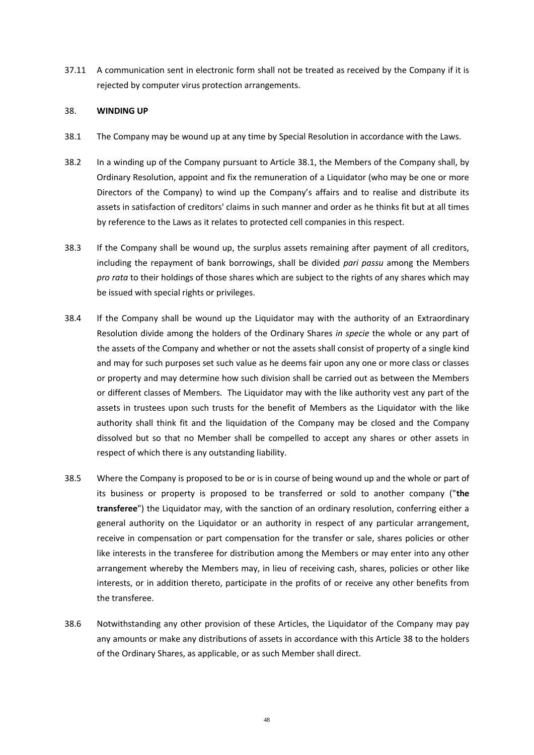37.11 A communication sent in electronic form shall not be treated as received by the Company if it is rejected by computer virus protection arrangements.

#### <span id="page-50-1"></span>38. **WINDING UP**

- <span id="page-50-0"></span>38.1 The Company may be wound up at any time by Special Resolution in accordance with the Laws.
- 38.2 In a winding up of the Company pursuant to Article [38.1,](#page-50-0) the Members of the Company shall, by Ordinary Resolution, appoint and fix the remuneration of a Liquidator (who may be one or more Directors of the Company) to wind up the Company's affairs and to realise and distribute its assets in satisfaction of creditors' claims in such manner and order as he thinks fit but at all times by reference to the Laws as it relates to protected cell companies in this respect.
- 38.3 If the Company shall be wound up, the surplus assets remaining after payment of all creditors, including the repayment of bank borrowings, shall be divided *pari passu* among the Members *pro rata* to their holdings of those shares which are subject to the rights of any shares which may be issued with special rights or privileges.
- 38.4 If the Company shall be wound up the Liquidator may with the authority of an Extraordinary Resolution divide among the holders of the Ordinary Shares *in specie* the whole or any part of the assets of the Company and whether or not the assets shall consist of property of a single kind and may for such purposes set such value as he deems fair upon any one or more class or classes or property and may determine how such division shall be carried out as between the Members or different classes of Members. The Liquidator may with the like authority vest any part of the assets in trustees upon such trusts for the benefit of Members as the Liquidator with the like authority shall think fit and the liquidation of the Company may be closed and the Company dissolved but so that no Member shall be compelled to accept any shares or other assets in respect of which there is any outstanding liability.
- 38.5 Where the Company is proposed to be or is in course of being wound up and the whole or part of its business or property is proposed to be transferred or sold to another company ("**the transferee**") the Liquidator may, with the sanction of an ordinary resolution, conferring either a general authority on the Liquidator or an authority in respect of any particular arrangement, receive in compensation or part compensation for the transfer or sale, shares policies or other like interests in the transferee for distribution among the Members or may enter into any other arrangement whereby the Members may, in lieu of receiving cash, shares, policies or other like interests, or in addition thereto, participate in the profits of or receive any other benefits from the transferee.
- 38.6 Notwithstanding any other provision of these Articles, the Liquidator of the Company may pay any amounts or make any distributions of assets in accordance with this Article [38](#page-50-1) to the holders of the Ordinary Shares, as applicable, or as such Member shall direct.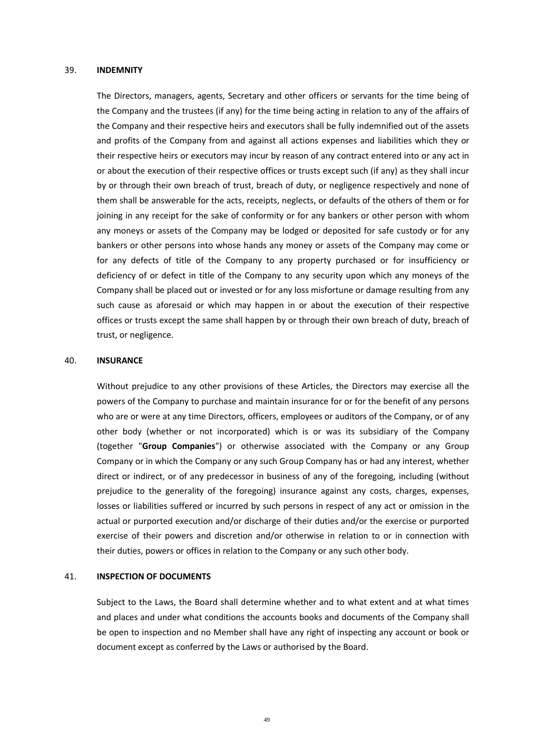#### 39. **INDEMNITY**

The Directors, managers, agents, Secretary and other officers or servants for the time being of the Company and the trustees (if any) for the time being acting in relation to any of the affairs of the Company and their respective heirs and executors shall be fully indemnified out of the assets and profits of the Company from and against all actions expenses and liabilities which they or their respective heirs or executors may incur by reason of any contract entered into or any act in or about the execution of their respective offices or trusts except such (if any) as they shall incur by or through their own breach of trust, breach of duty, or negligence respectively and none of them shall be answerable for the acts, receipts, neglects, or defaults of the others of them or for joining in any receipt for the sake of conformity or for any bankers or other person with whom any moneys or assets of the Company may be lodged or deposited for safe custody or for any bankers or other persons into whose hands any money or assets of the Company may come or for any defects of title of the Company to any property purchased or for insufficiency or deficiency of or defect in title of the Company to any security upon which any moneys of the Company shall be placed out or invested or for any loss misfortune or damage resulting from any such cause as aforesaid or which may happen in or about the execution of their respective offices or trusts except the same shall happen by or through their own breach of duty, breach of trust, or negligence.

#### 40. **INSURANCE**

Without prejudice to any other provisions of these Articles, the Directors may exercise all the powers of the Company to purchase and maintain insurance for or for the benefit of any persons who are or were at any time Directors, officers, employees or auditors of the Company, or of any other body (whether or not incorporated) which is or was its subsidiary of the Company (together "**Group Companies**") or otherwise associated with the Company or any Group Company or in which the Company or any such Group Company has or had any interest, whether direct or indirect, or of any predecessor in business of any of the foregoing, including (without prejudice to the generality of the foregoing) insurance against any costs, charges, expenses, losses or liabilities suffered or incurred by such persons in respect of any act or omission in the actual or purported execution and/or discharge of their duties and/or the exercise or purported exercise of their powers and discretion and/or otherwise in relation to or in connection with their duties, powers or offices in relation to the Company or any such other body.

#### 41. **INSPECTION OF DOCUMENTS**

Subject to the Laws, the Board shall determine whether and to what extent and at what times and places and under what conditions the accounts books and documents of the Company shall be open to inspection and no Member shall have any right of inspecting any account or book or document except as conferred by the Laws or authorised by the Board.